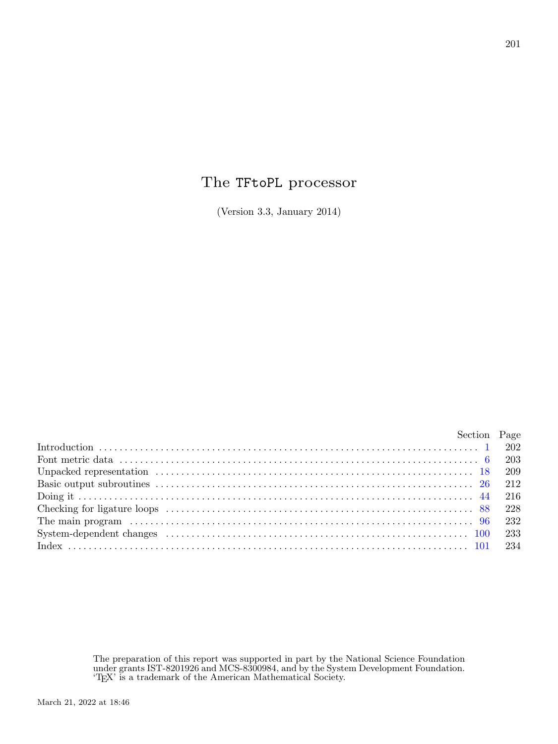## The TFtoPL processor

(Version 3.3, January 2014)

|                                                                                                                                                                                                                                | Section Page |
|--------------------------------------------------------------------------------------------------------------------------------------------------------------------------------------------------------------------------------|--------------|
|                                                                                                                                                                                                                                |              |
|                                                                                                                                                                                                                                |              |
|                                                                                                                                                                                                                                |              |
|                                                                                                                                                                                                                                |              |
|                                                                                                                                                                                                                                |              |
|                                                                                                                                                                                                                                |              |
|                                                                                                                                                                                                                                |              |
| System-dependent changes (a) contain the contract of the contract of the contract of the contract of the contract of the contract of the contract of the contract of the contract of the contract of the contract of the contr |              |
|                                                                                                                                                                                                                                |              |

The preparation of this report was supported in part by the National Science Foundation under grants IST-8201926 and MCS-8300984, and by the System Development Foundation. 'TEX' is a trademark of the American Mathematical Society.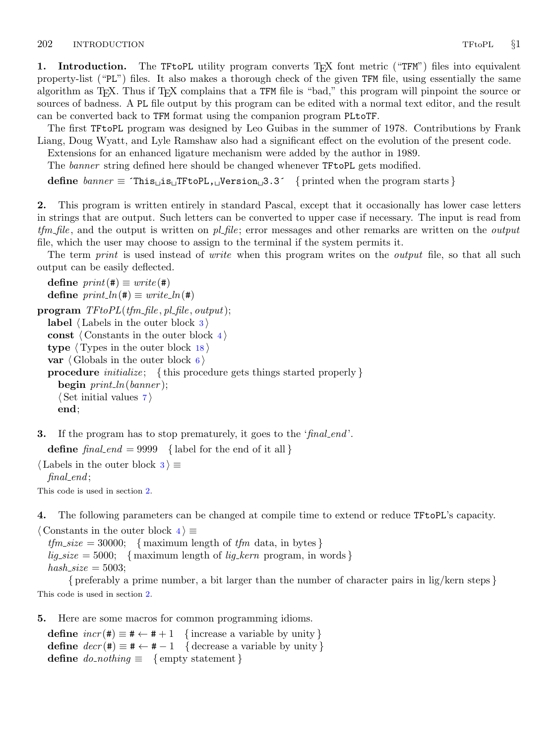<span id="page-1-0"></span>1. Introduction. The TFtoPL utility program converts T<sub>F</sub>X font metric ("TFM") files into equivalent property-list ("PL") files. It also makes a thorough check of the given TFM file, using essentially the same algorithm as T<sub>E</sub>X. Thus if T<sub>E</sub>X complains that a TFM file is "bad," this program will pinpoint the source or sources of badness. A PL file output by this program can be edited with a normal text editor, and the result can be converted back to TFM format using the companion program PLtoTF.

The first TFtoPL program was designed by Leo Guibas in the summer of 1978. Contributions by Frank Liang, Doug Wyatt, and Lyle Ramshaw also had a significant effect on the evolution of the present code.

Extensions for an enhanced ligature mechanism were added by the author in 1989.

The banner string defined here should be changed whenever TFtoPL gets modified.

define  $\text{banner} \equiv \text{`This} \sqcup \text{is} \sqcup \text{TrtoPL}, \sqcup \text{version} \sqcup 3.3'$  { printed when the program starts }

2. This program is written entirely in standard Pascal, except that it occasionally has lower case letters in strings that are output. Such letters can be converted to upper case if necessary. The input is read from  $t/m$ -file, and the output is written on  $p$ -file; error messages and other remarks are written on the *output* file, which the user may choose to assign to the terminal if the system permits it.

The term *print* is used instead of *write* when this program writes on the *output* file, so that all such output can be easily deflected.

```
define print(\textbf{\#}) \equiv write(\textbf{\#})define print\_ln(F) \equiv write\_ln(F)\mathbf{program} \; TF to PL (tfm\_file, pl\_file, output);label \langle Labels in the outer block 3\rangleconst \langle Constants in the outer block 4\rangletype \langle18\ranglevar \langle6\rangleprocedure initialize; {this procedure gets things started properly }
    begin print\_ln(banner);
    \langle7\rangleend;
```
**3.** If the program has to stop prematurely, it goes to the 'final end'.

define  $final\_end = 9999$  { label for the end of it all }

 $\langle$  Labels in the outer block  $3 \rangle \equiv$  $final$ .

This code is used in section 2.

4. The following parameters can be changed at compile time to extend or reduce TFtoPL's capacity.

 $\langle$  Constants in the outer block  $4 \rangle \equiv$ 

 $tfmsize = 30000; \{ maximum length of tfm data, in bytes\}$  $lig\_size = 5000; \{$  maximum length of lig<sub>kern</sub> program, in words {}  $hash\_size = 5003$ ;

{ preferably a prime number, a bit larger than the number of character pairs in lig/kern steps } This code is used in section 2.

5. Here are some macros for common programming idioms.

define  $incr(\texttt{\#}) \equiv \texttt{\#} \leftarrow \texttt{\#} + 1$  {increase a variable by unity} define  $decr(\texttt{\#}) \equiv \texttt{\#} \leftarrow \texttt{\#} - 1$  { decrease a variable by unity } define  $do\_nothing \equiv \{$  empty statement  $\}$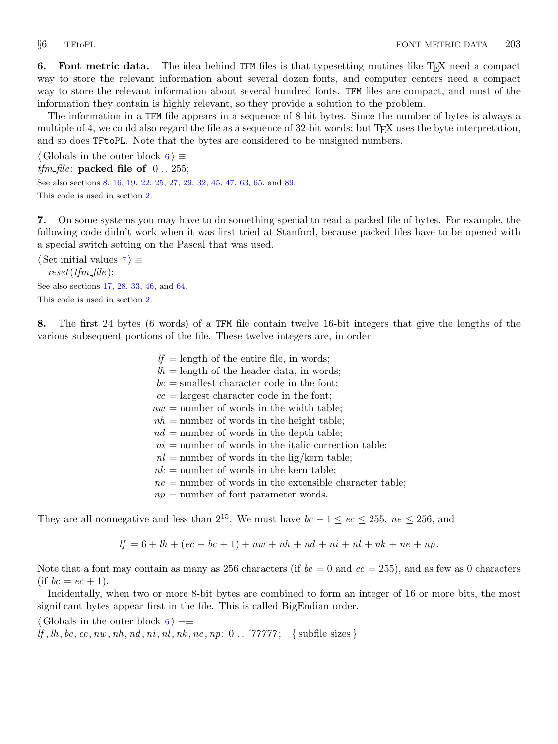<span id="page-2-0"></span>6. Font metric data. The idea behind TFM files is that typesetting routines like T<sub>F</sub>X need a compact way to store the relevant information about several dozen fonts, and computer centers need a compact way to store the relevant information about several hundred fonts. TFM files are compact, and most of the information they contain is highly relevant, so they provide a solution to the problem.

The information in a TFM file appears in a sequence of 8-bit bytes. Since the number of bytes is always a multiple of 4, we could also regard the file as a sequence of 32-bit words; but T<sub>E</sub>X uses the byte interpretation, and so does TFtoPL. Note that the bytes are considered to be unsigned numbers.

 $\langle$  Globals in the outer block 6  $\rangle \equiv$  $tfm_file$ : packed file of  $0.255$ ; See also sections 8, [16,](#page-7-0) [19](#page-8-0), [22,](#page-9-0) [25](#page-10-0), [27](#page-11-0), [29,](#page-11-0) [32](#page-11-0), [45](#page-15-0), [47,](#page-15-0) [63](#page-20-0), [65,](#page-20-0) and [89](#page-27-0). This code is used in section [2](#page-1-0).

7. On some systems you may have to do something special to read a packed file of bytes. For example, the following code didn't work when it was first tried at Stanford, because packed files have to be opened with a special switch setting on the Pascal that was used.

 $\langle$  Set initial values 7 $\rangle \equiv$  $reset(fm$ -file); See also sections [17](#page-7-0), [28,](#page-11-0) [33](#page-12-0), [46](#page-15-0), and [64](#page-20-0). This code is used in section [2](#page-1-0).

8. The first 24 bytes (6 words) of a TFM file contain twelve 16-bit integers that give the lengths of the various subsequent portions of the file. These twelve integers are, in order:

> $lf =$  length of the entire file, in words;  $lh = \text{length of the header data}, \text{ in words};$  $bc =$  smallest character code in the font;  $ec =$  largest character code in the font;  $nw =$  number of words in the width table;  $nh$  = number of words in the height table;  $nd =$  number of words in the depth table;  $ni =$  number of words in the italic correction table;  $nl =$  number of words in the lig/kern table;  $nk =$  number of words in the kern table;  $ne =$  number of words in the extensible character table;  $np =$  number of font parameter words.

They are all nonnegative and less than  $2^{15}$ . We must have  $bc - 1 \leq ec \leq 255$ ,  $ne \leq 256$ , and

 $lf = 6 + lh + (ec - bc + 1) + nw + nh + nd + ni + nl + nk + ne + np.$ 

Note that a font may contain as many as 256 characters (if  $bc = 0$  and  $ec = 255$ ), and as few as 0 characters (if  $bc = ec + 1$ ).

Incidentally, when two or more 8-bit bytes are combined to form an integer of 16 or more bits, the most significant bytes appear first in the file. This is called BigEndian order.

 $\langle$  Globals in the outer block 6  $\rangle$  +=

If,  $lh, bc, ec, nw, nh, nd, ni, nl, nk, ne, np: 0$ .  $\forall$ 7777; { subfile sizes }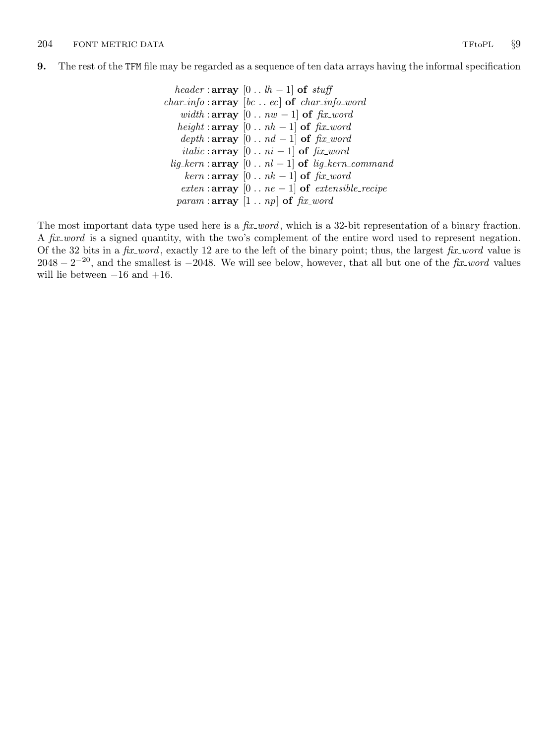<span id="page-3-0"></span>9. The rest of the TFM file may be regarded as a sequence of ten data arrays having the informal specification

```
header : array [0..th-1] of stuff
char_info:array [bc...ec] of char_info_word
   width : array [0.. <math>nw-1] of fix\_wordheight : array [0.. nh - 1] of fix\_worddepth:array [0..nd-1] of fix\_worditalic : array [0.. ni - 1] of fix\_wordlig_kern : \text{array} [0 . . nl - 1] of lig_kern_command
    kern : array [0..nk-1] of fix\_wordexten : array [0 . . ne - 1] of extensible_recipe
  param : array [1.. np] of fix\_word
```
The most important data type used here is a  $fix\_word$ , which is a 32-bit representation of a binary fraction. A fix-word is a signed quantity, with the two's complement of the entire word used to represent negation. Of the 32 bits in a fix word, exactly 12 are to the left of the binary point; thus, the largest fix word value is  $2048 - 2^{-20}$ , and the smallest is  $-2048$ . We will see below, however, that all but one of the fix-word values will lie between  $-16$  and  $+16$ .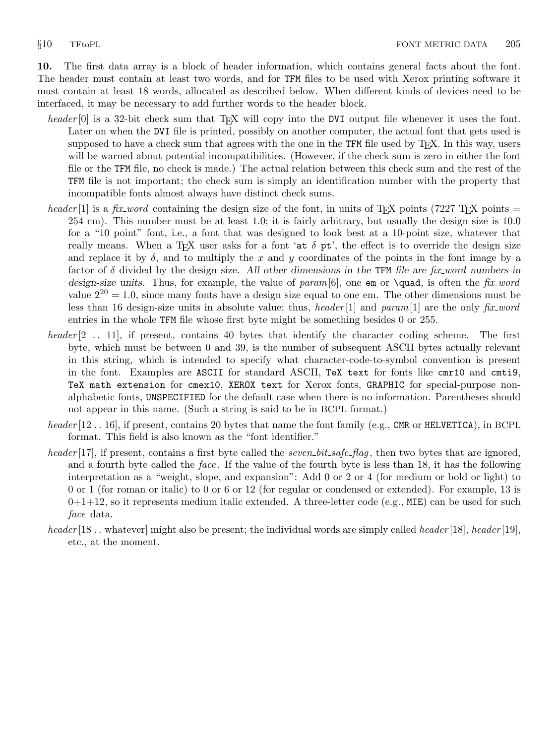<span id="page-4-0"></span>10. The first data array is a block of header information, which contains general facts about the font. The header must contain at least two words, and for TFM files to be used with Xerox printing software it must contain at least 18 words, allocated as described below. When different kinds of devices need to be interfaced, it may be necessary to add further words to the header block.

- header [0] is a 32-bit check sum that TEX will copy into the DVI output file whenever it uses the font. Later on when the DVI file is printed, possibly on another computer, the actual font that gets used is supposed to have a check sum that agrees with the one in the TFM file used by T<sub>F</sub>X. In this way, users will be warned about potential incompatibilities. (However, if the check sum is zero in either the font file or the TFM file, no check is made.) The actual relation between this check sum and the rest of the TFM file is not important; the check sum is simply an identification number with the property that incompatible fonts almost always have distinct check sums.
- header [1] is a fix-word containing the design size of the font, in units of T<sub>E</sub>X points (7227 T<sub>E</sub>X points = 254 cm). This number must be at least 1.0; it is fairly arbitrary, but usually the design size is 10.0 for a "10 point" font, i.e., a font that was designed to look best at a 10-point size, whatever that really means. When a T<sub>E</sub>X user asks for a font 'at  $\delta$  pt', the effect is to override the design size and replace it by  $\delta$ , and to multiply the x and y coordinates of the points in the font image by a factor of  $\delta$  divided by the design size. All other dimensions in the TFM file are fix word numbers in design-size units. Thus, for example, the value of param [6], one em or **\quad**, is often the fix word value  $2^{20} = 1.0$ , since many fonts have a design size equal to one em. The other dimensions must be less than 16 design-size units in absolute value; thus, header [1] and param [1] are the only fix word entries in the whole TFM file whose first byte might be something besides 0 or 255.
- header  $[2 \tcdot 11]$ , if present, contains 40 bytes that identify the character coding scheme. The first byte, which must be between 0 and 39, is the number of subsequent ASCII bytes actually relevant in this string, which is intended to specify what character-code-to-symbol convention is present in the font. Examples are ASCII for standard ASCII, TeX text for fonts like cmr10 and cmti9, TeX math extension for cmex10, XEROX text for Xerox fonts, GRAPHIC for special-purpose nonalphabetic fonts, UNSPECIFIED for the default case when there is no information. Parentheses should not appear in this name. (Such a string is said to be in BCPL format.)
- $header[12.. 16]$ , if present, contains 20 bytes that name the font family (e.g., CMR or HELVETICA), in BCPL format. This field is also known as the "font identifier."
- header [17], if present, contains a first byte called the *seven bit safe flag*, then two bytes that are ignored, and a fourth byte called the *face*. If the value of the fourth byte is less than 18, it has the following interpretation as a "weight, slope, and expansion": Add 0 or 2 or 4 (for medium or bold or light) to 0 or 1 (for roman or italic) to 0 or 6 or 12 (for regular or condensed or extended). For example, 13 is  $0+1+12$ , so it represents medium italic extended. A three-letter code (e.g., MIE) can be used for such face data.
- header [18]. whatever] might also be present; the individual words are simply called header [18], header [19], etc., at the moment.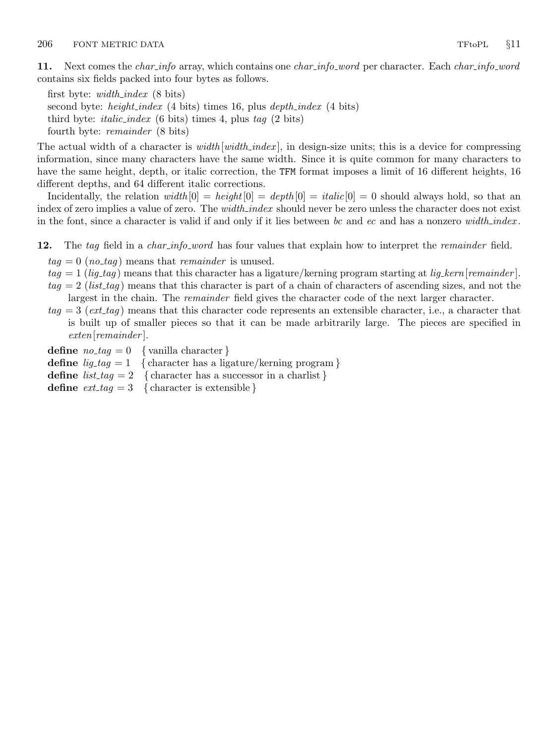<span id="page-5-0"></span>11. Next comes the *char-info* array, which contains one *char-info-word* per character. Each *char-info-word* contains six fields packed into four bytes as follows.

first byte:  $width\_index$  (8 bits) second byte: *height\_index* (4 bits) times 16, plus *depth\_index* (4 bits) third byte: *italic\_index* (6 bits) times 4, plus tag  $(2 \text{ bits})$ fourth byte: remainder (8 bits)

The actual width of a character is *width*  $[width\_index]$ , in design-size units; this is a device for compressing information, since many characters have the same width. Since it is quite common for many characters to have the same height, depth, or italic correction, the TFM format imposes a limit of 16 different heights, 16 different depths, and 64 different italic corrections.

Incidentally, the relation width  $[0] = height[0] = depth[0] = italic[0] = 0$  should always hold, so that an index of zero implies a value of zero. The *width index* should never be zero unless the character does not exist in the font, since a character is valid if and only if it lies between bc and ec and has a nonzero width-index.

12. The tag field in a *char-info-word* has four values that explain how to interpret the *remainder* field.

 $tag = 0$  (no\_tag) means that remainder is unused.

- $tag = 1$  (lig-tag) means that this character has a ligature/kerning program starting at lig-kern [remainder].
- $tag = 2$  (list\_tag) means that this character is part of a chain of characters of ascending sizes, and not the largest in the chain. The *remainder* field gives the character code of the next larger character.
- $tag = 3$  (ext\_tag) means that this character code represents an extensible character, i.e., a character that is built up of smaller pieces so that it can be made arbitrarily large. The pieces are specified in exten[remainder ].

**define**  $no\_tag = 0$  { vanilla character } define  $lig\_tag = 1$  { character has a ligature/kerning program } define  $list\_tag = 2$  { character has a successor in a charlist} define  $ext\_tag = 3$  { character is extensible }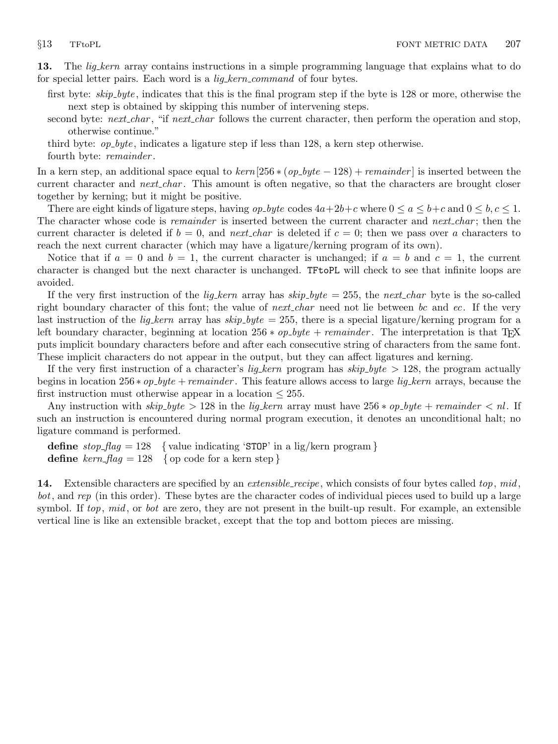<span id="page-6-0"></span>13. The *lig<sub>kern</sub>* array contains instructions in a simple programming language that explains what to do for special letter pairs. Each word is a *lig\_kern\_command* of four bytes.

first byte: *skip\_byte*, indicates that this is the final program step if the byte is 128 or more, otherwise the next step is obtained by skipping this number of intervening steps.

second byte: next char, "if next char follows the current character, then perform the operation and stop, otherwise continue."

third byte:  $op_bpt_e$ , indicates a ligature step if less than 128, a kern step otherwise.

fourth byte: *remainder*.

In a kern step, an additional space equal to  $\text{kern}[256 * (op\_byte - 128) + \text{remainder}]$  is inserted between the current character and *next char*. This amount is often negative, so that the characters are brought closer together by kerning; but it might be positive.

There are eight kinds of ligature steps, having  $op_b yte$  codes  $4a+2b+c$  where  $0 \le a \le b+c$  and  $0 \le b, c \le 1$ . The character whose code is *remainder* is inserted between the current character and *next* char; then the current character is deleted if  $b = 0$ , and next char is deleted if  $c = 0$ ; then we pass over a characters to reach the next current character (which may have a ligature/kerning program of its own).

Notice that if  $a = 0$  and  $b = 1$ , the current character is unchanged; if  $a = b$  and  $c = 1$ , the current character is changed but the next character is unchanged. TFtoPL will check to see that infinite loops are avoided.

If the very first instruction of the *lig<sub>kern</sub>* array has  $skip_b$  byte = 255, the next char byte is the so-called right boundary character of this font; the value of *next char* need not lie between bc and ec. If the very last instruction of the *lig<sub>kern</sub>* array has  $skip_b$  byte = 255, there is a special ligature/kerning program for a left boundary character, beginning at location 256 \*  $op\_byte + remainder$ . The interpretation is that T<sub>E</sub>X puts implicit boundary characters before and after each consecutive string of characters from the same font. These implicit characters do not appear in the output, but they can affect ligatures and kerning.

If the very first instruction of a character's *lig\_kern* program has  $skip_bpt \geq 128$ , the program actually begins in location 256 \*  $op\_byte +remainder$ . This feature allows access to large *lig\_kern* arrays, because the first instruction must otherwise appear in a location  $\leq$  255.

Any instruction with  $skip_bpt\ kip_byte > 128$  in the lig kern array must have  $256 * op_byte + remainder < n!$ . If such an instruction is encountered during normal program execution, it denotes an unconditional halt; no ligature command is performed.

**define**  $stop\_{flag} = 128$  { value indicating 'STOP' in a lig/kern program } **define** kern  $flag = 128$  { op code for a kern step }

14. Extensible characters are specified by an *extensible\_recipe*, which consists of four bytes called top,  $mid$ bot, and rep (in this order). These bytes are the character codes of individual pieces used to build up a large symbol. If top, mid, or bot are zero, they are not present in the built-up result. For example, an extensible vertical line is like an extensible bracket, except that the top and bottom pieces are missing.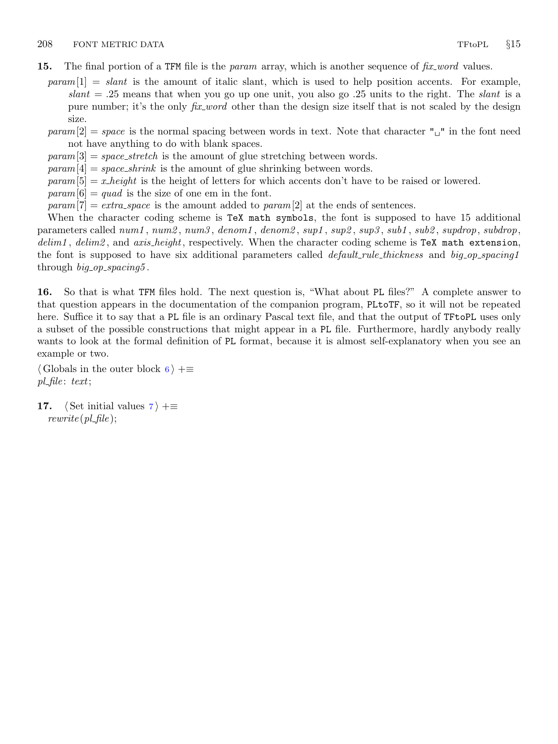- <span id="page-7-0"></span>15. The final portion of a TFM file is the *param* array, which is another sequence of  $fix\_word$  values.
	- $param[1] = slant$  is the amount of italic slant, which is used to help position accents. For example,  $slant = .25$  means that when you go up one unit, you also go  $.25$  units to the right. The slant is a pure number; it's the only *fix word* other than the design size itself that is not scaled by the design size.
	- param $[2] = space$  is the normal spacing between words in text. Note that character " $\Box$ " in the font need not have anything to do with blank spaces.
	- $param[3] = space\_stretch$  is the amount of glue stretching between words.
	- $param[4] = space\_shrink$  is the amount of glue shrinking between words.
	- $param[5] = x \nheight$  is the height of letters for which accents don't have to be raised or lowered.
	- $param[6] = quad$  is the size of one em in the font.
	- param $[7] = \text{extra-space}$  is the amount added to param $[2]$  at the ends of sentences.

When the character coding scheme is TeX math symbols, the font is supposed to have 15 additional parameters called num1, num2, num3, denom1, denom2, sup1, sup2, sup3, sub1, sub2, supdrop, subdrop,  $delim1$ ,  $delim2$ , and  $axis\_height$ , respectively. When the character coding scheme is TeX math extension, the font is supposed to have six additional parameters called *default\_rule\_thickness* and *big\_op\_spacing1* through  $big\_op\_spacing5$ .

16. So that is what TFM files hold. The next question is, "What about PL files?" A complete answer to that question appears in the documentation of the companion program, PLtoTF, so it will not be repeated here. Suffice it to say that a PL file is an ordinary Pascal text file, and that the output of TFtoPL uses only a subset of the possible constructions that might appear in a PL file. Furthermore, hardly anybody really wants to look at the formal definition of PL format, because it is almost self-explanatory when you see an example or two.

 $\langle$  Globals in the outer block [6](#page-2-0)  $\rangle$  +≡  $pl$ -file: text;

1[7](#page-2-0).  $\langle$  Set initial values 7  $\rangle$  +≡  $rewrite (pl$ -file  $);$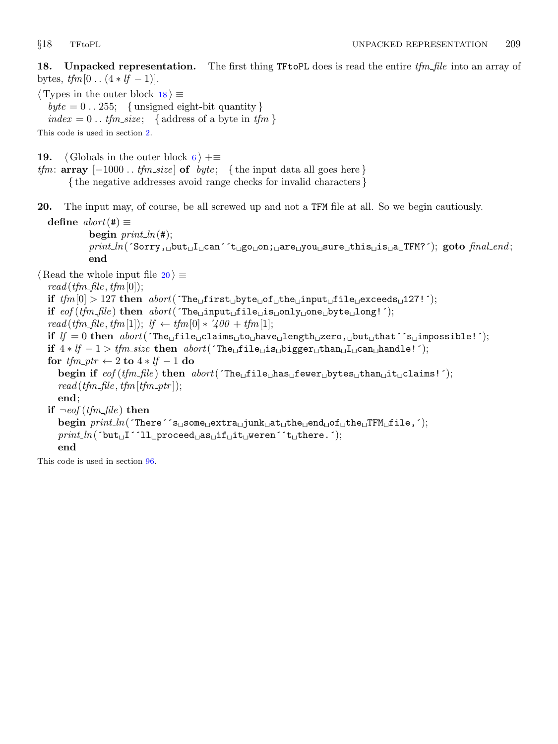<span id="page-8-0"></span>18. Unpacked representation. The first thing TF to PL does is read the entire  $tfm$  file into an array of bytes,  $tfm[0.. (4 * lf - 1)].$ 

 $\langle$  Types in the outer block 18  $\rangle \equiv$ 

 $byte = 0$ ... 255; {unsigned eight-bit quantity} index = 0.. tfm\_size; { address of a byte in tfm }

This code is used in section [2](#page-1-0).

19.  $\langle$  Globals in the outer block [6](#page-2-0)  $\rangle$  +≡

tfm:  $array \ [-1000 \dots \text{tfm.size}]\$  of  $byte; \ \{the input data all goes here\}$ 

{ the negative addresses avoid range checks for invalid characters }

20. The input may, of course, be all screwed up and not a TFM file at all. So we begin cautiously.

define  $abort(\#) \equiv$ begin  $print\_ln(#);$  ${\it print\_ln}$ (´Sorry, ${\tt \footnotesize \texttt{ubut\_l\_can}}$ ´t ${\tt \footnotesize \texttt{ugo\_on}}$ ; ${\tt \footnotesize \texttt{aare\_you\_sure\_this\_is\_a\_TFM?}}$ ´);  ${\tt goto \textit{final\_end}};$ end

 $\langle$  Read the whole input file 20  $\rangle \equiv$  $read(tfm\_file, tfm[0]);$ if  $tfm[0] > 127$  then  $abort('The \text{ifirst} \text{__byte} \text{__of} \text{__the} \text{__input} \text{__file} \text{__exceeds} \text{__127!}$ ; if  $\epsilon$  ( $t$ fm\_file) then  $\epsilon$  abort( $\tau$ The<sub>l</sub>input<sub>u</sub>file<sub>u</sub>is<sub>u</sub>only one byte<sub>u</sub>long! $\tau$ ); read (tfm\_file, tfm[1]);  $lf \leftarrow tfm[0] * 400 + tfm[1];$ if  $lf = 0$  then  $abort('The_ifile_1clains_1to_1hase_1length_1zero, \tibut_1that 's_1impossible!');$ if 4 ∗ lf − 1 > tfm size then abort(´The file is bigger than I can handle!´); for  $tfm\_ptr \leftarrow 2$  to  $4 * lf - 1$  do begin if  $eof (tfm_{\text{m}} file)$  then  $abort('The_{\text{m}} file_{\text{m}} base_{\text{m}} bytes_{\text{m}} bytes_{\text{m}} that_{\text{m}} is !')$ ;  $read(tfm_{\textit{-}}file, tfm_{\textit{}}[tfm_{\textit{-}}ptr])$ ; end; if  $\neg \textit{cof}(\textit{tfm}\textit{—file})$  then  $begin *begining{}>1.5em\textwidth}{\textwidth} \begin{subarray}{c} \text{begin} \text{of} \end{subarray} \begin{subarray}{c} \text{of} \end{subarray} \begin{subarray}{c} \text{of} \end{subarray} \begin{subarray}{c} \text{of} \end{subarray} \begin{subarray}{c} \text{of} \end{subarray} \begin{subarray}{c} \text{of} \end{subarray} \begin{subarray}{c} \text{of} \end{subarray} \begin{subarray}{c} \text{of} \end{subarray} \begin{subarray}{c} \text{of} \end{subarray} \begin{subarray}{c} \text{of} \end{subarray} \begin{subarray*$  $\mathit{print\_ln}(\verb|`but_{\sqcup}I^{\frown}11_{\sqcup} \verb|proceed_{\sqcup}as_{\sqcup}if_{\sqcup}it_{\sqcup} \verb|were|`'t_{\sqcup}there.{}');$ end

This code is used in section [96](#page-31-0).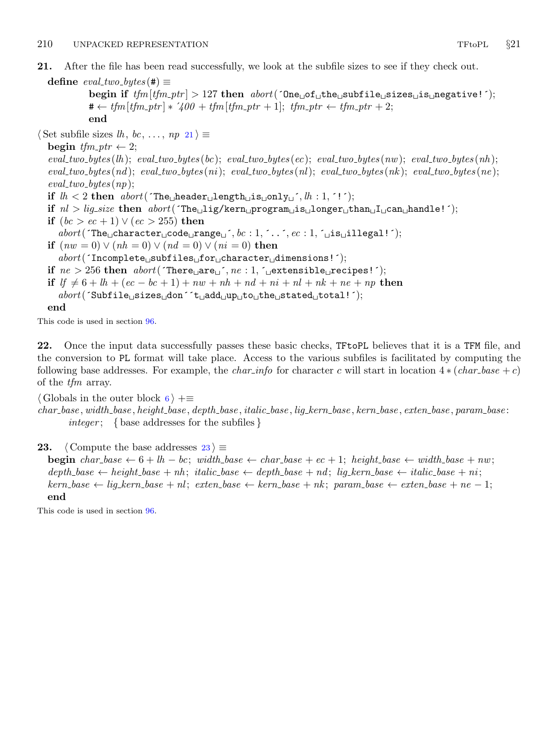<span id="page-9-0"></span>21. After the file has been read successfully, we look at the subfile sizes to see if they check out.

```
define eval\_two\_bytes (#) \equivbegin if tfm[fm\_ptr] > 127 then abort('One<sub>U</sub>of<sub>U</sub>the<sub>U</sub>subfile<sub>U</sub>size<sub>U</sub>is<sub>U</sub>negative!');\# \leftarrow \text{tfm}{[tfm\_ptr] * 400 + tfm}{[tfm\_ptr + 1]}; \text{tfm\_ptr} \leftarrow \text{tfm\_ptr + 2};end
```

```
\langle Set subfile sizes lh, bc, ..., np 21\rangle \equivbegin tfm\_ptr \leftarrow 2;eval\_two\_bytes(lh); \; eval\_two\_bytes(bc); \; eval\_two\_bytes(ec); \; eval\_two\_bytes(nh); \; eval\_two\_bytes(lh);eval\_two\_bytes(nd); \text{ } eval\_two\_bytes(ni); \text{ } eval\_two\_bytes(nl); \text{ } eval\_two\_bytes(nk); \text{ } eval\_two\_bytes(ne);eval\_two\_bytes(np);if lh < 2 then abort('The \text{[header] length} \text{[is} \text{[only]}, lh : 1, '!');if nl > lig.size then abort('The_{nl}ig/kern_{nl}rogram_{nl}is_{nl}onger_{nl}than_{nl}I_{nl}can_{nl}handle!');if (bc > ec + 1) \vee (ec > 255) then
     abort('The <sub>U</sub> character <sub>U</sub>code<sub>U</sub>range<sub>U</sub>', bc : 1, ', . . , ec : 1, 'u is <sub>U</sub>illegal!');if (nw = 0) \vee (nh = 0) \vee (nd = 0) \vee (ni = 0) then
      abort('Incomplete\_\text{subfiles\_\text{f}or\_\text{c}character\_\text{d}imensions!');if ne > 256 then abort('There \sqcup are \sqcup', ne: 1, \sqcup \text{extension} \sqcup \text{recipes!'});if lf \neq 6 + lh + (ec - bc + 1) + nw + nh + nd + ni + nl + nk + ne + np then
     abort('Subfile\_sizes \text{dom}^t_t_aadd \text{up}^t_bto \text{the}^t_sstad \text{d}^t_bto \text{d}^t_i;
  end
This code is used in section 96.
```
22. Once the input data successfully passes these basic checks, TFtoPL believes that it is a TFM file, and the conversion to PL format will take place. Access to the various subfiles is facilitated by computing the following base addresses. For example, the *char-info* for character c will start in location  $4 * (char base + c)$ of the tfm array.

 $\langle$  Globals in the outer block [6](#page-2-0)  $\rangle$  +≡

 $char\_base$ , width  $base$ , height  $base$ , depth  $base$ , italic  $base$ ,  $lig$  kern  $base$ , kern  $base$ , exten  $base$ , param  $base$ : integer; { base addresses for the subfiles }

23.  $\langle$  Compute the base addresses 23  $\rangle \equiv$ 

**begin** char base  $\leftarrow 6 + lh - bc$ ; width base  $\leftarrow char$  base + ec + 1; height base  $\leftarrow width$  base + nw; depth base ← height base + nh ; italic base ← depth base + nd ; lig kern base ← italic base + ni ;  $kern\_base \leftarrow lig\_kern\_base + nl; \text{ }exten\_base \leftarrow kern\_base + nk; \text{ }param\_base \leftarrow exten\_base + ne - 1;$ end

This code is used in section [96](#page-31-0).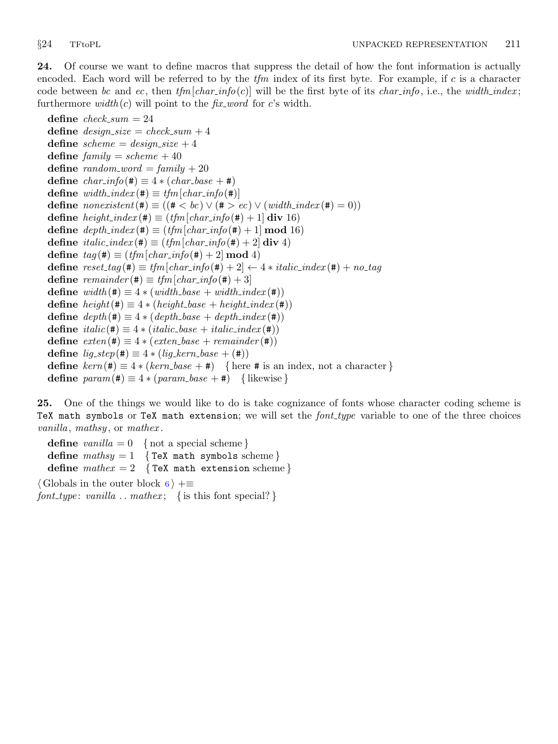<span id="page-10-0"></span>24. Of course we want to define macros that suppress the detail of how the font information is actually encoded. Each word will be referred to by the  $t/m$  index of its first byte. For example, if c is a character code between bc and ec, then  $tfm[char.info(c)]$  will be the first byte of its char info, i.e., the width index; furthermore  $width(c)$  will point to the *fix-word* for c's width.

```
define check\_sum = 24define design\_size = check\_sum + 4define scheme = design_size + 4define family = scheme + 40define random\_word = family + 20define char\_info(\#) \equiv 4 * (char\_base + \#)define width\_index (#) \equiv tfm[char\_info (#)]
define \text{nonexistent}(\textbf{#}) \equiv ((\textbf{#} < bc) \vee (\textbf{#} > ec) \vee (\text{width}\_\text{index}(\textbf{#}) = 0))define height\_index (#) \equiv (tfm[char\_info(\#) + 1] div 16)
define depth\_index (#) \equiv (tfm[char\_info (#) + 1 mod 16)
define \text{ } italic\_index (\#) \equiv (\text{ } t\text{ }fn \text{ }[\text{ }char\_info(\#) + 2] \text{ div } 4)define tag (\#) \equiv (tfm[char\_info (\#) + 2] \mod 4)define reset\_tag (#) \equiv tfm \left[char\_info(\text{#}) + 2 \right] \leftarrow 4 * italic\_index(\text{#}) + no\_tagdefine remainder(\textbf{\#}) \equiv t/m[char\_info(\textbf{\#})+3]define width(\#) \equiv 4 * (width\_base + width\_index(\#))define height(\#) \equiv 4 * (height\_base + height\_index(\#))define depth(\#) \equiv 4 * (depth\_base + depth\_index(\#))define italic(\texttt{\#}) \equiv 4 * (italic\_base + italic\_index(\texttt{\#}))define exten(\textbf{#}) \equiv 4 * (exten\_base + remainder(\textbf{#}))define lig\_step(\#) \equiv 4 * (lig\_kern\_base + (\#))define \text{kern}(\textbf{\#}) \equiv 4 \cdot (\text{kern} - \text{base} + \textbf{\#}) { here # is an index, not a character }
define param(\#) \equiv 4 * (param\_base + \#) { likewise }
```
25. One of the things we would like to do is take cognizance of fonts whose character coding scheme is TeX math symbols or TeX math extension; we will set the  $font_type$  variable to one of the three choices vanilla, mathsy, or mathex.

define  $vanilla = 0$  { not a special scheme} define  $mathsy = 1$  {TeX math symbols scheme} define  $\textit{math} = 2$  {TeX math extension scheme}  $\langle$  Globals in the outer block [6](#page-2-0)  $\rangle$  +≡ font\_type: vanilla ... mathex; { is this font special? }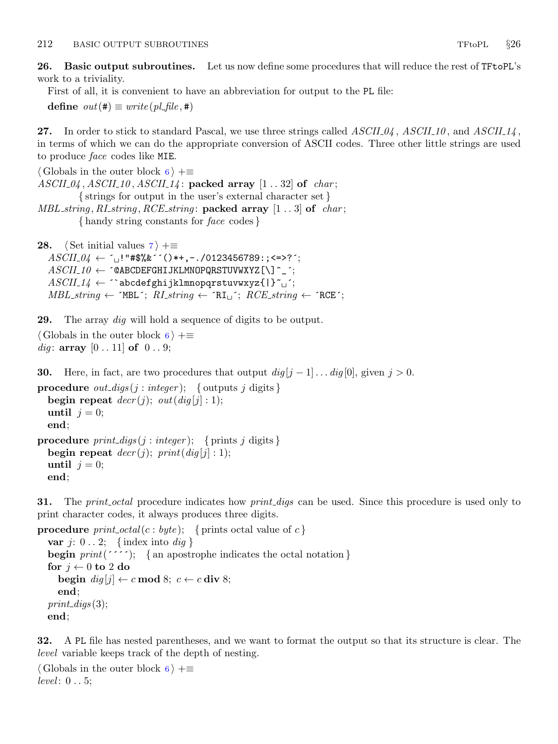<span id="page-11-0"></span>26. Basic output subroutines. Let us now define some procedures that will reduce the rest of TFtoPL's work to a triviality.

First of all, it is convenient to have an abbreviation for output to the PL file:

define  $out(\#) \equiv write(\text{pl}\_file, \#)$ 

27. In order to stick to standard Pascal, we use three strings called  $ASCH_04$ ,  $ASCH_10$ , and  $ASCH_4$ , in terms of which we can do the appropriate conversion of ASCII codes. Three other little strings are used to produce face codes like MIE.

```
\langle6 \rangle +≡
ASCII_04, ASCII_10, ASCII_14: packed array [1..32] of char;
          { strings for output in the user's external character set }
MBL<sub>string</sub>, RL<sub>string</sub>, RCE<sub>string</sub>: <b>package array</b> <math>[1..3]</math> <b>of</b> <i>char</i>;{ handy string constants for face codes }
```

```
28. \langle7 \rangle +≡
     ASCII_04 \leftarrow \text{`}_0!"#$%&´´()*+,−./0123456789:;<=>?´;
     ASCII_10 \leftarrow \text{\textdegree} \blacksquare \blacksquare \blacksquare \blacksquare \blacksquare \blacksquare \blacksquare \blacksquare \blacksquare \blacksquare \blacksquare \blacksquare \blacksquare \blacksquare \blacksquare \blacksquare \blacksquare \blacksquare \blacksquare \blacksquare \blacksquare \blacksquare \blacksquare \blacksquare \blacksquare \blacksquare \blacksquare \blacksquare \blacksASCII_14 \leftarrow ^ abcdefghijklmnopqrstuvwxyz{|}~
     MBL\_string \leftarrow \text{YB-L}; RI\_string \leftarrow \text{RIL}; RCE\_string \leftarrow \text{RCE};
```
**29.** The array *dig* will hold a sequence of digits to be output.

```
\langle6 \rangle +≡
dig: array [0..11] of 0..9;
```
**30.** Here, in fact, are two procedures that output  $\frac{di}{g} |j - 1| \dots \frac{di}{g} |0|$ , given  $j > 0$ .

```
procedure out_digs(j : integer); { outputs j digits }
  begin repeat decr(j); out(diq[j]:1);
  until j = 0;
  end;
procedure print\_digs (j : integer); { prints j digits }
  begin repeat decr(j); print(dig[j]:1);
  until i = 0;
  end;
```
**31.** The *print<sub>-</sub>octal* procedure indicates how *print-digs* can be used. Since this procedure is used only to print character codes, it always produces three digits.

```
procedure print_octal(c : byte); { prints octal value of c}
  var j: 0 \ldots 2; {index into dig}
  begin print(''''); { an apostrophe indicates the octal notation }
  for j \leftarrow 0 to 2 do
     begin dig[j] \leftarrow c \mod 8; c \leftarrow c \text{ div } 8;end;
  print\_digs(3);end;
```
32. A PL file has nested parentheses, and we want to format the output so that its structure is clear. The level variable keeps track of the depth of nesting.

```
\langle6 \rangle +≡
level: 0 \ldots 5;
```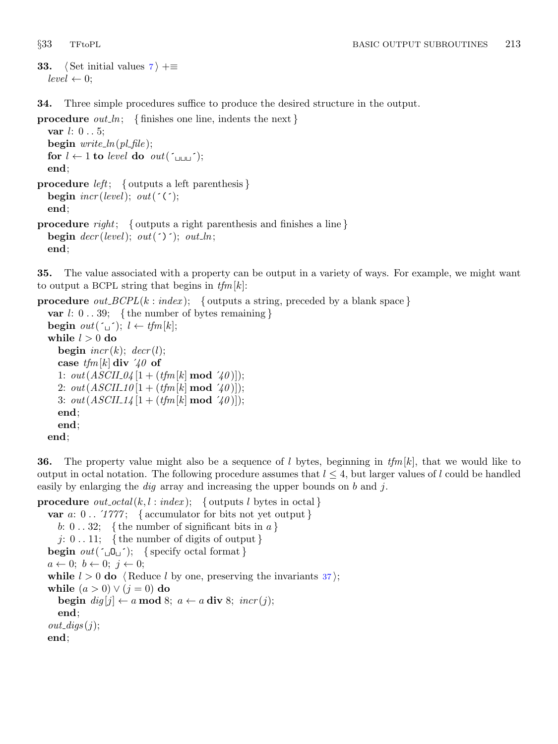```
33. \langle Set initial values 7 \rangle +≡
   level \leftarrow 0;
```
34. Three simple procedures suffice to produce the desired structure in the output.

**procedure** *out\_ln*; { finishes one line, indents the next } **var**  $l: 0...5$ ; begin  $write\_ln(pl\_file)$ ; for  $l \leftarrow 1$  to level do out( $\tau_{\text{full}}$ ; end; **procedure** *left*; { outputs a left parenthesis } begin  $\text{incr}(level); \text{ out}(\text{'}(\text{'});$ end; **procedure** right; { outputs a right parenthesis and finishes a line } begin  $decr(level); out(')'); out\_ln;$ end;

35. The value associated with a property can be output in a variety of ways. For example, we might want to output a BCPL string that begins in  $tfm[k]$ :

```
procedure out\_BCPL(k: index); { outputs a string, preceded by a blank space }
  var l: 0 \ldots 39; \{ the number of bytes remaining }
  begin out(\ulcorner \ulcorner); l \leftarrow tfm[k];
  while l > 0 do
     begin \text{incr}(k); \text{decr}(l);
     case t/m[k] div 40 of
     1: out(ASCII_04|1 + (tfm|k| \bmod 40));2: out(ASCII_10[1 + (tfm[k] \text{ mod } 70)]);3: out(ASCH_14[1 + (tfm[k] \text{ mod } 40)]);
     end;
     end;
  end;
```
**36.** The property value might also be a sequence of l bytes, beginning in  $tfm[k]$ , that we would like to output in octal notation. The following procedure assumes that  $l \leq 4$ , but larger values of l could be handled easily by enlarging the *dig* array and increasing the upper bounds on b and j.

```
procedure out_octal(k, l : index); { outputs l bytes in octal }
  var a: 0.. '1777; { accumulator for bits not yet output }
     b: 0 \ldots 32; {the number of significant bits in a}
     j: 0 \ldots 11; { the number of digits of output }
  begin out(\ulcorner\Box\mathsf{O}\Box\urcorner); \{ \text{specify octal format} \}a \leftarrow 0; b \leftarrow 0; j \leftarrow 0;while l > 0 do \langle37\rangle;
  while (a > 0) \vee (j = 0) do
     begin \text{dig}[j] \leftarrow a \mod 8; \ a \leftarrow a \text{ div } 8; \ \text{incr}(j);end;
  out\_digs(j);end;
```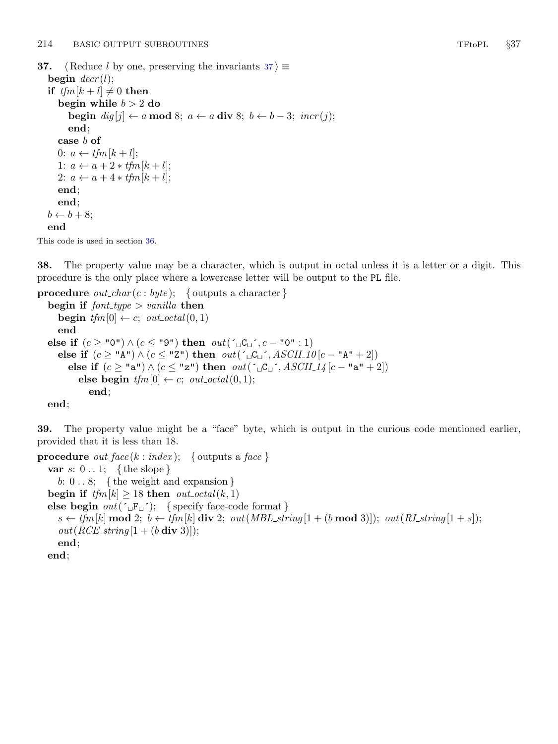```
37. \langle Reduce l by one, preserving the invariants 37 \rangle \equivbegin decr(l);if tfm[k+l] \neq 0 then
     begin while b > 2 do
        begin dig[j] \leftarrow a \mod 8; a \leftarrow a \text{ div } 8; b \leftarrow b - 3; incr(j);end;
     case b of
     0: a \leftarrow tfm [k + l];
     1: a \leftarrow a + 2 * tfm[k + l];
     2: a \leftarrow a + 4 * tfm[k+l];
     end;
     end;
  b \leftarrow b + 8;
  end
```
This code is used in section [36](#page-12-0).

38. The property value may be a character, which is output in octal unless it is a letter or a digit. This procedure is the only place where a lowercase letter will be output to the PL file.

```
procedure out\_char(c:byte); { outputs a character }
   begin if font\_type > vanilla then
      begin tfm[0] \leftarrow c; out\_octal(0, 1)end
   else if (c \geq "0") \wedge (c \leq "9") then out('_U C_U', c - "0" : 1)else if (c \geq \mathsf{N} A^{\mathsf{m}}) \wedge (c \leq \mathsf{N} Z^{\mathsf{m}}) then out(\ulcorner \Box C \Box \urcorner, ASCII\_10 \vert c - \mathsf{N} A^{\mathsf{m}} + 2 \vert)else if (c \geq "a") \wedge (c \leq "z") then out(\ulcorner \Box C \Box \urcorner, ASCII_14 [c - "a" + 2])else begin tfm[0] \leftarrow c; out_octal(0,1);
                end;
```
end;

39. The property value might be a "face" byte, which is output in the curious code mentioned earlier, provided that it is less than 18.

```
procedure out_face(k : index); { outputs a face }
  var s: 0 \ldots 1; \{ the slope \}b: 0 \ldots 8; {the weight and expansion }
  begin if tfm[k] \geq 18 then out\_octal(k, 1)else begin out(\lceil \exists F_{\sqcup} \rceil); {specify face-code format }
     s \leftarrow t/m[k] \mod 2; b \leftarrow t/m[k] \text{div } 2; out(MBL-string[1 + (b \mod 3)]); out(RL string[1 + s]);out(RCE\_string[1 + (b \div 3)]);end;
  end;
```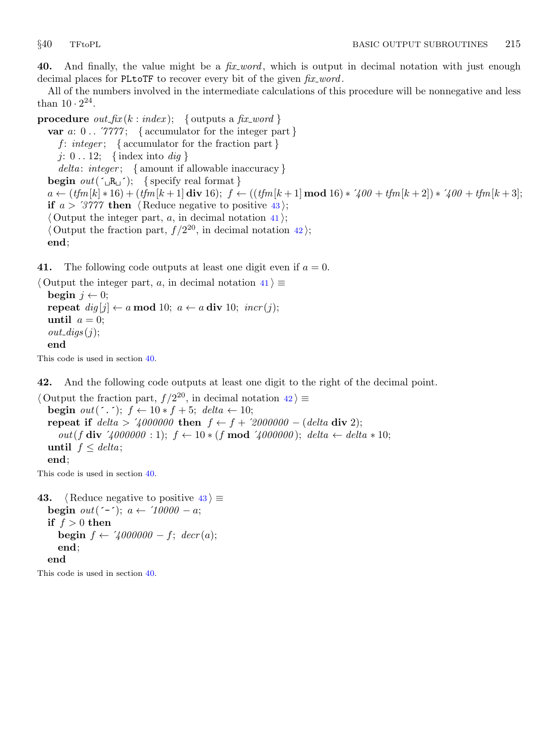<span id="page-14-0"></span>40. And finally, the value might be a  $fix\_word$ , which is output in decimal notation with just enough decimal places for PLtoTF to recover every bit of the given  $fix\_word$ .

All of the numbers involved in the intermediate calculations of this procedure will be nonnegative and less than  $10 \cdot 2^{24}$ .

**procedure** *out\_fix*  $(k : index);$  { outputs a *fix\_word* } var  $a: 0$ ...  $\gamma\gamma\gamma\gamma$ ; { accumulator for the integer part } f: integer; { $\{$  accumulator for the fraction part } j:  $0 \dots 12$ ; {index into *dig* }  $delta: integer; \{ amount if allowable inaccuracy \}$ **begin**  $out(\underline{\hspace{0.2cm}}\cdot E_{\sqcup} \cdot)$ ; { specify real format }  $a \leftarrow (tfm[k] * 16) + (tfm[k+1] \text{ div } 16);$   $f \leftarrow ((tfm[k+1] \text{ mod } 16) * 700 + tfm[k+2]) * 700 + tfm[k+3];$ if  $a > 3777$  then (Reduce negative to positive 43);  $\langle$  Output the integer part, a, in decimal notation 41 $\rangle$ ;  $\langle$  Output the fraction part,  $f / 2^{20}$ , in decimal notation 42); end;

41. The following code outputs at least one digit even if  $a = 0$ .

```
\langle Output the integer part, a, in decimal notation 41\rangle \equivbegin j \leftarrow 0;
  repeat dig[j] \leftarrow a \mod 10; \ a \leftarrow a \text{ div } 10; \ incr(j);until a = 0;
   out\_digs(j);end
```
This code is used in section 40.

42. And the following code outputs at least one digit to the right of the decimal point.

 $\langle$  Output the fraction part,  $f / 2^{20}$ , in decimal notation  $42 \rangle \equiv$ **begin**  $out(\ulcorner \cdot \urcorner); f \leftarrow 10 * f + 5; delta \leftarrow 10;$ repeat if  $delta > 7000000$  then  $f \leftarrow f + 72000000 - (delta \times 2)$ ; out(f div '4000000 : 1); f ← 10 \* (f mod '4000000); delta ← delta \* 10; until  $f \leq delta$ ; end;

This code is used in section 40.

```
43. (Reduce negative to positive 43) \equivbegin out(\neg \neg); a \leftarrow \neg 10000 - a;
  if f > 0 then
     begin f \leftarrow \angle 4000000 - f; decr(a);
     end;
  end
```
This code is used in section 40.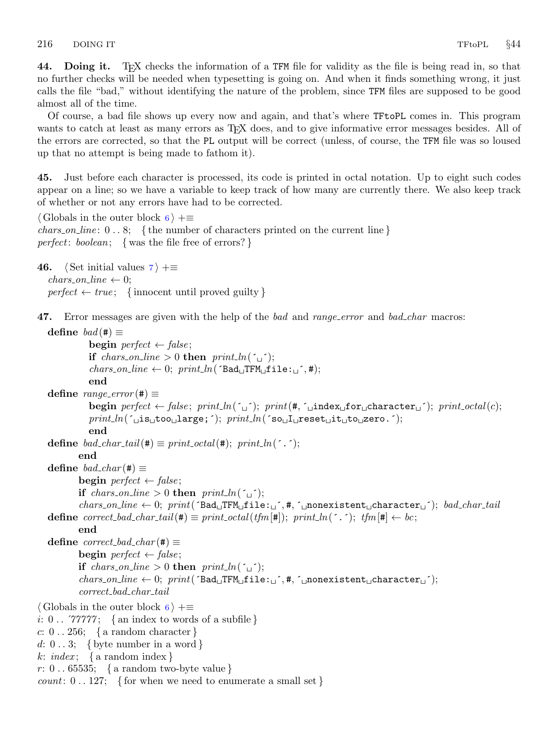<span id="page-15-0"></span>44. Doing it. TEX checks the information of a TFM file for validity as the file is being read in, so that no further checks will be needed when typesetting is going on. And when it finds something wrong, it just calls the file "bad," without identifying the nature of the problem, since TFM files are supposed to be good almost all of the time.

Of course, a bad file shows up every now and again, and that's where TFtoPL comes in. This program wants to catch at least as many errors as T<sub>E</sub>X does, and to give informative error messages besides. All of the errors are corrected, so that the PL output will be correct (unless, of course, the TFM file was so loused up that no attempt is being made to fathom it).

45. Just before each character is processed, its code is printed in octal notation. Up to eight such codes appear on a line; so we have a variable to keep track of how many are currently there. We also keep track of whether or not any errors have had to be corrected.

```
\langle6 \rangle +=
chars_on_line: 0 \ldots 8; {the number of characters printed on the current line}
perfect: boolean; { was the file free of errors? }
```

```
46. \langle7 \rangle +≡
  chars\_on\_line \leftarrow 0;perfect \leftarrow true; \{ \text{innocent until proved guilty} \}
```
47. Error messages are given with the help of the bad and range error and bad char macros:

```
define bad(\#) \equivbegin perfect \leftarrow false;if chars_on_line > 0 then print\_ln( \lceil \_;
               \textit{chars\_on\_line} \leftarrow 0; \textit{print\_ln}(\texttt{'Bad\_TFM\_file:}\_\text{\'},\texttt{\#});end
   define range_error(\#) \equivbegin perfect \leftarrow false; print ln(\ulcorner '); print (#, '_index_for character '); print octal(c);
               print\_ln('_{\text{u}}is_{\text{u}}to_{\text{u}}l\text{arg}e; ; print\_ln('so_{\text{u}}l\text{arg}et_{\text{u}}it_{\text{u}}to_{\text{u}}l\text{arg}et_{\text{u}};end
   define bad_char_tail(#) \equiv print\_octal(\#); print\_ln('.');
            end
   define bad\_char (#) \equivbegin perfect \leftarrow false;if chars_on_line > 0 then print\_ln( \cdot\textit{chars} \textit{.on} line \leftarrow 0; \textit{print}' (\texttt{Bad}_{\sqcup}TFM_{\sqcup}file:_{\sqcup}<sup>-</sup>, #, \lceil \text{.nonexistence} \rceil, \text{.on} anacter_{\sqcup}<sup>-</sup>); bad_char_tail
   define correct bad char tail(#) \equiv print octal(tfm[#]); print ln('.'); tfm[#] \leftarrow bc;
            end
   define correct\_bad\_char(\#) \equivbegin perfect \leftarrow false;if chars_on_line > 0 then print\_ln( \lceil \_;
            \textit{chars\_on\_line} \leftarrow 0; \textit{print}(\texttt{'Bad\_TFM\_file:~j'}, \texttt{\#}, \texttt{'\_nonexistent\_character\_'});correct bad char tail
\langle6 \rangle +\equivi: 0 \ldots 77777; { an index to words of a subfile }
c: 0... 256; { a random character }
d: 0 \ldots 3; { byte number in a word }
k: index; { a random index }
r: 0 \ldots 65535; { a random two-byte value }
count: 0 \ldots 127; { for when we need to enumerate a small set }
```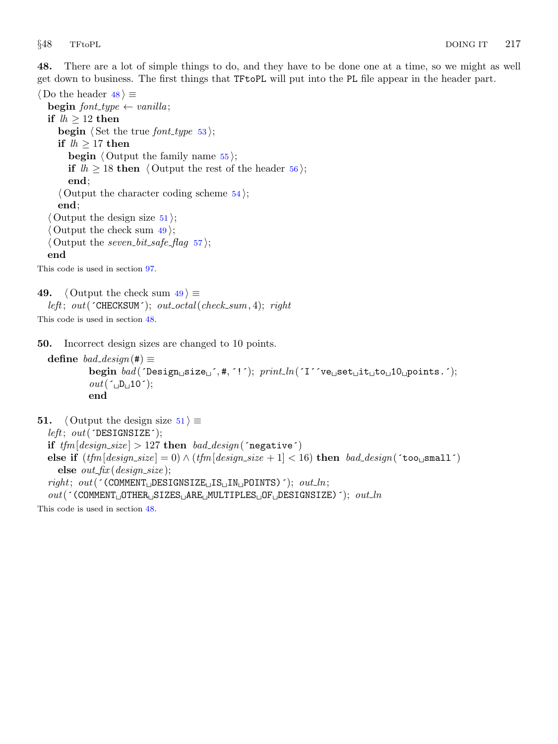<span id="page-16-0"></span>48. There are a lot of simple things to do, and they have to be done one at a time, so we might as well get down to business. The first things that TFtoPL will put into the PL file appear in the header part.

 $\langle$  Do the header 48  $\rangle \equiv$ begin font\_type  $\leftarrow$  vanilla; if  $lh \geq 12$  then **begin**  $\langle$  Set the true *font\_type* [53](#page-17-0) $\rangle$ ; if  $lh \geq 17$  then **begin**  $\langle$  Output the family name  $55$ ; if  $lh \geq 18$  then  $\langle$  Output the rest of the header [56](#page-17-0) $\rangle$ ; end;  $\langle$  Output the character coding scheme [54](#page-17-0) $\rangle$ ; end;  $\langle$  Output the design size  $51$ ;  $\langle$  Output the check sum 49 $\rangle$ ;  $\langle$  Output the seven bit safe flag [57](#page-18-0)  $\rangle$ ; end

This code is used in section [97](#page-31-0).

```
49. \langle Output the check sum 49 \rangle \equivleft; out(\text{CHECKSUM}; out_octal(check_sum, 4); right
```
This code is used in section 48.

50. Incorrect design sizes are changed to 10 points.

```
define bad_design(#) \equivbegin{min} bad(\texttt{Design\_size\_}^{\texttt{}}, \texttt{\#}, \texttt{'}'); \textit{print\_ln}(\texttt{'I'}^{\texttt{'}}ve \texttt{self\_it\_to\_10\_points.}'); \end{min}out(\ulcorner\Box D\Box 10\urcorner);end
```
**51.**  $\langle$  Output the design size 51  $\rangle \equiv$ 

 $left; out('DESIGNSIZE');$ if  $tfm[design\_size] > 127$  then  $bad\_design$  (negative) else if  $(t/m \leq 10) \wedge (t/m \leq 10)$  (design\_size + 1 \lefta \lefta 16) then bad\_design( $\text{`too\_small'}$ ) else  $out\_fix$  (design\_size);  $right; out('COMMENT \_DESTGNSIZE \_IS \_IN \_POLNTS)$ ;  $out\_ln;$  $out($  (COMMENT<sub>LI</sub>OTHER<sub>LI</sub>SIZES<sub>LI</sub>ARE<sub>LI</sub>MULTIPLES<sub>LI</sub>OF<sub>LI</sub>DESIGNSIZE)<sup>'</sup>);  $out\_ln$ 

This code is used in section 48.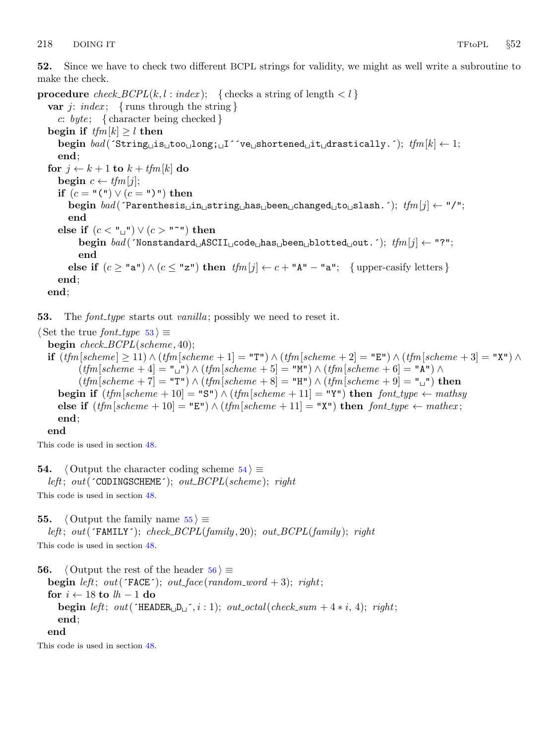<span id="page-17-0"></span>52. Since we have to check two different BCPL strings for validity, we might as well write a subroutine to make the check.

procedure  $check\_BCPL(k, l : index);$  { checks a string of length  $l$  } var j: index; { runs through the string } c: byte; { character being checked } begin if  $tfm[k] \geq l$  then begin  $bad$  (´String is too long; I<sup>'</sup>ve shortened it drastically.´);  $tfm[k] \leftarrow 1;$ end; for  $j \leftarrow k + 1$  to  $k + t$ fm[k] do **begin**  $c \leftarrow tfm[j];$ if  $(c = "(") \vee (c = ")")$  then begin  $\text{bad}$  ( $\text{Parenthesis}$  in string has been changed to slash. $\cdot$ );  $\text{tfm}[i] \leftarrow \text{``} / \text{''}$ ; end else if  $(c < \mathbb{F}^n) \vee (c > \mathbb{F}^n)$  then begin  $bad$  (´Nonstandard  $\Delta$ SCII $\Delta$ code  $\Delta$ has  $\Delta$ been  $\Delta$ blotted  $\Delta$ out.´);  $tfm[j] \leftarrow$  "?"; end else if  $(c \geq "a") \wedge (c \leq "z")$  then  $tfm[j] \leftarrow c + "A" - "a"$ ; {upper-casify letters } end; end;

**53.** The *font-type* starts out *vanilla*; possibly we need to reset it.

 $\langle$  Set the true font\_type 53  $\rangle \equiv$ begin  $check\_BCPL(scheme, 40);$ if  $(tfm[scheme] \ge 11) \wedge (tfm[scheme + 1] = "T") \wedge (tfm[scheme + 2] = "E") \wedge (tfm[scheme + 3] = "X") \wedge (tfm[scheme + 3] = "S") \wedge (tfm[scheme + 3] = "S") \wedge (tfm[scheme + 3] = "S") \wedge (tfm[scheme + 3] = "S") \wedge (tfm[scheme + 3] = "S") \wedge (tfm[scheme + 3] = "S") \wedge (tfm[scheme + 3] = "S") \wedge (tfm[scheme + 3] = "S") \wedge (tfm[scheme + 3] = "S")$  $(tfm|scheme + 4] = "\sqcup" \wedge (tfm|scheme + 5] = "\sqcup" \wedge (tfm|scheme + 6] = "\blacktriangle" \wedge$  $(t/m[scheme + 7] = "T") \wedge (tfm[scheme + 8] = "H") \wedge (tfm[scheme + 9] = "u")$  then begin if  $(t/m[scheme + 10] = "S") \wedge (tfm[scheme + 11] = "Y")$  then  $font_type \leftarrow mathsy$ else if  $(t/m[scheme + 10] = "E") \wedge (tfm[scheme + 11] = "X")$  then  $font_type \leftarrow matter$ ; end;

end

This code is used in section [48](#page-16-0).

54.  $\langle$  Output the character coding scheme 54 $\rangle \equiv$ left; out( $\text{COMINGSCHEME}$ ; out\_ $BCPL(\text{scheme})$ ; right

This code is used in section [48](#page-16-0).

**55.**  $\langle$  Output the family name  $55 \rangle \equiv$ left; out( $\text{FAMILY'}$ ); check\_ $BCPL(family, 20)$ ; out\_ $BCPL(family)$ ; right

This code is used in section [48](#page-16-0).

```
56. \langle Output the rest of the header 56 \rangle \equivbegin left; out(FACE); out face (random word + 3); right;
  for i \leftarrow 18 to lh-1 do
     begin left; out(\text{HEADER}_{\text{U}} D_{\text{U}}, i: 1); out_octal(check_sum + 4 * i, 4); right;
     end;
  end
```
This code is used in section [48](#page-16-0).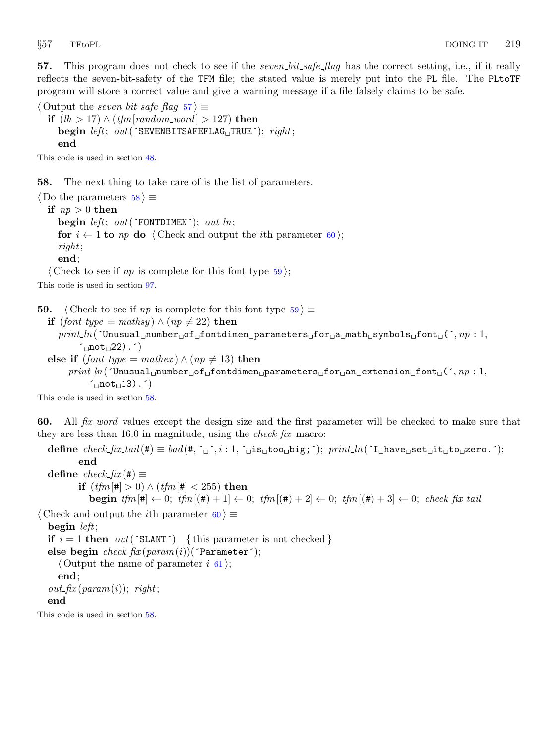<span id="page-18-0"></span>57. This program does not check to see if the *seven bit safe flag* has the correct setting, i.e., if it really reflects the seven-bit-safety of the TFM file; the stated value is merely put into the PL file. The PLtoTF program will store a correct value and give a warning message if a file falsely claims to be safe.

 $\langle$  Output the seven bit safe flag 57  $\rangle \equiv$ **if**  $(lh > 17) \land (tfm[random\_word] > 127)$  then begin left; out( $\text{SEVENBITSAFFLAG}$ TRUE $\text{C}$ ); right; end

This code is used in section [48](#page-16-0).

58. The next thing to take care of is the list of parameters.

 $\langle$  Do the parameters 58  $\rangle \equiv$ if  $np > 0$  then begin  $left$ ; out( $'$ FONTDIMEN $')$ ; out\_ln; for  $i \leftarrow 1$  to  $np$  do  $\langle$  Check and output the *i*th parameter 60 $\rangle$ ; right; end;

 $\langle$  Check to see if np is complete for this font type  $59$ ;

This code is used in section [97](#page-31-0).

59.  $\langle$  Check to see if np is complete for this font type 59  $\rangle \equiv$ if  $(font\_type = \text{math} ) \wedge (np \neq 22)$  then  $print\_ln($  (Unusual number of fortdimen parameters for a math symbols font ( $\zeta$ ,  $np : 1$ ,  $(not<sub>u</sub>22).')$ else if  $(font\_type = \text{mathex}) \wedge (np \neq 13)$  then  $print\_ln($  (Inusual number of fortdimen parameters for an extension font ( $\zeta$ , np : 1,  $\sim$  not<sub> $(13)$ </sub>. This code is used in section 58.

60. All *fix word* values except the design size and the first parameter will be checked to make sure that they are less than 16.0 in magnitude, using the *check-fix* macro:

define  $check\_fix\_tail(\#) \equiv bad(\#,[\cdot]_i, i : 1, [\cdot]_i, \text{is\_to}_i)$ ; print $\text{ln}([\cdot]_i)$ have $\text{ln}(\cdot)$ gero. $\cdot$ ; end define  $check\_fix$  (#)  $\equiv$ **if**  $(tfm|# > 0) \wedge (tfm|# < 255)$  then **begin**  $tfm[\ddot{\bf t}] \leftarrow 0$ ;  $tfm[(\ddot{\bf t}) + 1] \leftarrow 0$ ;  $tfm[(\ddot{\bf t}) + 2] \leftarrow 0$ ;  $tfm[(\ddot{\bf t}) + 3] \leftarrow 0$ ;  $check\_fix\_tail$  $\langle$  Check and output the *i*th parameter 60  $\rangle \equiv$ begin left; **if**  $i = 1$  then out ( $SLANT'$ ) {this parameter is not checked} else begin  $check\_fix(param(i))$ ('Parameter');  $\langle$  Output the name of parameter i [61](#page-19-0) $\rangle$ ; end;  $out\_fix$  (param(i)); right; end

This code is used in section 58.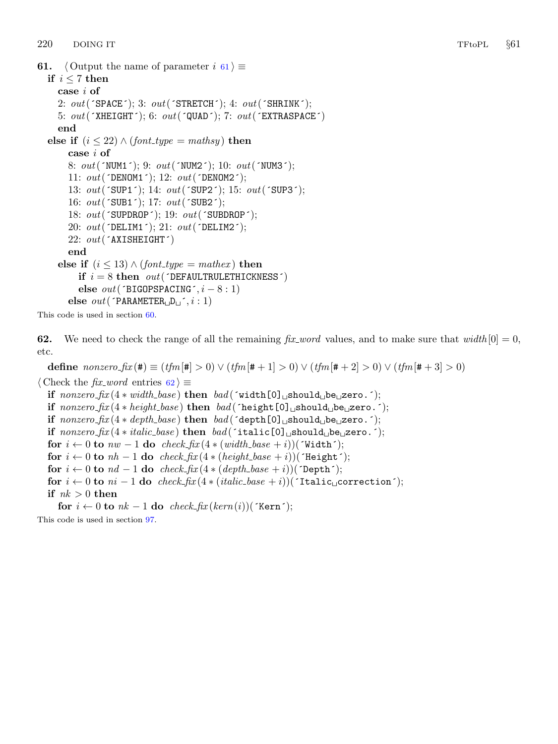```
61. \langle Output the name of parameter i \in \{61\} \equivif i \leq 7 then
    case i of
    2: out('SPACE'); 3: out('STATETCH'); 4: out('SHRINK');5: out('XHEIGHT'); 6: out('QUAD'); 7: out('EXTRASPACE')end
  else if (i \leq 22) \wedge (font\_type = \text{math}case i of
       8: out('NUM1'); 9: out('NUM2'); 10: out('NUM3');11: out('DENOM1'); 12: out('DENOM2');
       13: out('SUP1'); 14: out('SUP2'); 15: out('SUP3');16: out('SUB1'); 17: out('SUB2');18: out('SUPDROP'); 19: out('SUBDROP');20: out('DELIM1'); 21: out('DELIM2');22: out('AXISHEIGHT')end
    else if (i \leq 13) \wedge (font\_type = mathex) then
         if i = 8 then out('DEFAULTRULERHICKNESS')else out('BIGOPSPACENG', i - 8 : 1)else out('PARMETER<sub>u</sub>D<sub>u</sub>^{\prime}, i : 1)
```
This code is used in section [60](#page-18-0).

62. We need to check the range of all the remaining  $fix\_word$  values, and to make sure that  $width[0] = 0$ , etc.

define  $nonzero\_fix$  (#)  $\equiv (tfm[#] > 0) \vee (tfm[# + 1] > 0) \vee (tfm[# + 2] > 0) \vee (tfm[# + 3] > 0)$  $\langle$  Check the *fix word* entries 62  $\rangle \equiv$ if  $nonzero\_fix(4 * width\_base)$  then  $bad('width[0]_Jshould_b]$ e $_J$ zero.´); if  $nonzero\_fix(4 * height\_base)$  then  $bad('height[0] \text{subulgebra}()$ ; if  $nonzero\_fix(4 * depth\_base)$  then  $bad('depth[0] \text{~should} \text{~be} \text{~zero}$ .'); if  $nonzero\_fix(4*italic\_base)$  then  $bad('italic[0] \text{_*should} \text{_*be* \text{_*zero*}.');*$ for  $i \leftarrow 0$  to  $nw - 1$  do check\_fix  $(4 * (width\_base + i))$  ('Width'); for  $i \leftarrow 0$  to  $nh - 1$  do  $check\_fix(4 * (height\_base + i))$ ('Height'); for  $i \leftarrow 0$  to  $nd - 1$  do  $check\_fix(4 * (depth\_base + i))$ ('Depth'); for  $i \leftarrow 0$  to  $ni - 1$  do check  $fix(4 * (italic\_base + i))$ ('Italic<sub>io</sub>correction'); if  $nk > 0$  then for  $i \leftarrow 0$  to  $nk - 1$  do  $check\_fix(kern(i))$ (´Kern´);

This code is used in section [97](#page-31-0).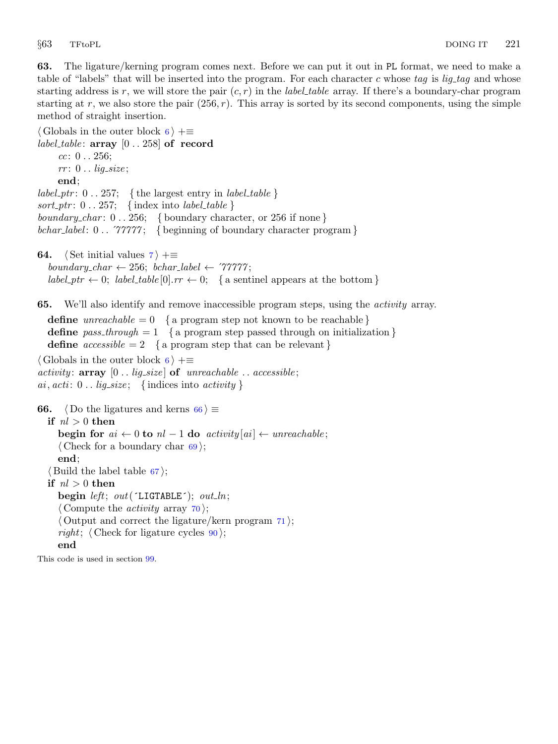<span id="page-20-0"></span>63. The ligature/kerning program comes next. Before we can put it out in PL format, we need to make a table of "labels" that will be inserted into the program. For each character c whose tag is lig-tag and whose starting address is r, we will store the pair  $(c, r)$  in the *label table* array. If there's a boundary-char program starting at r, we also store the pair  $(256, r)$ . This array is sorted by its second components, using the simple method of straight insertion.

```
\langle6 \rangle +≡
label_table: array [0.. 258] of record
    cc: 0.0.256;rr: 0.. lig_size;
    end;
label_ptr: 0 \ldots 257; {the largest entry in label_table }
sort_ptr: 0 \ldots 257; {index into label_table }
boundary char: 0. 256; {boundary character, or 256 if none}
bchar label: 0 \ldots \gamma\gamma\gamma\gamma\gamma; { beginning of boundary character program }
64. \langle Set initial values 7 \rangle + \equivboundary_char \leftarrow 256; bchar_label \leftarrow '77777;
  label\_ptr \leftarrow 0; label\_table[0].rr \leftarrow 0; \{ \text{a sentinel appears at the bottom } \}65. We'll also identify and remove inaccessible program steps, using the activity array.
  define unreachable = 0 \{a program step not known to be reachable \}define pass_through = 1 { a program step passed through on initialization }
  define accessible = 2 { a program step that can be relevant }
\langle6 \rangle +≡
activity: array \; [0..] is a size of <i>unreachable</i>... <i>accessible</i>;ai, acti: 0.. lig\_size; \{ indices into activity \}66. \langle Do the ligatures and kerns 66 \rangle \equivif nl > 0 then
    begin for ai \leftarrow 0 to nl - 1 do activity [ai] \leftarrow unreachable;
    \langle69\rangle;
    end;
  \langle67\rangle;
  if nl > 0 then
    begin left; out('LIGTABLE'); out_ln;
     \langle Compute the activity array 70 \rangle;
     \langle Output and correct the ligature/kern program 71;
    right; \langle Check for ligature cycles 90 \rangle;
    end
```
This code is used in section [99](#page-31-0).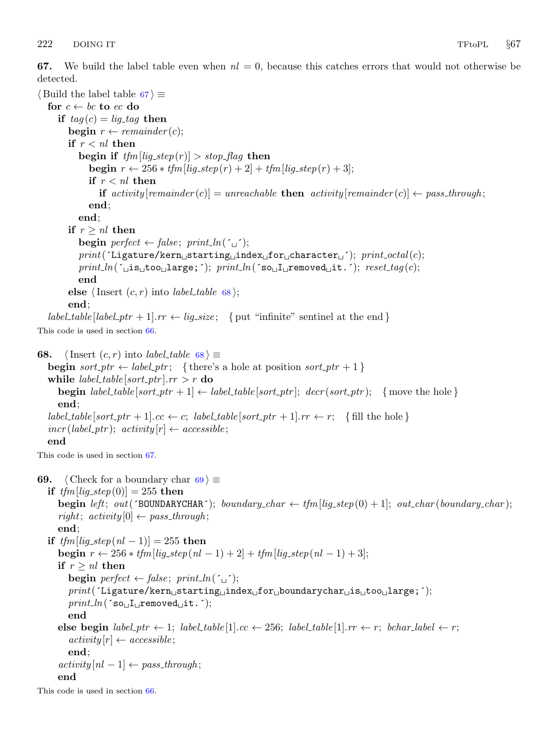<span id="page-21-0"></span>67. We build the label table even when  $nl = 0$ , because this catches errors that would not otherwise be detected.

```
\langle Build the label table 67 \rangle \equivfor c \leftarrow bc to ec do
     if tag (c) = lig\_tag then
        begin r \leftarrow remainder(c);
        if r < nl then
           begin if tfm[lig\_step(r)] > stop\_flag then
              begin r \leftarrow 256 * t/m [lig_step(r) + 2] + tfm [lig_step(r) + 3];
              if r < nl then
                 if activity [remainder (c)] = unreachable then activity [remainder (c)] \leftarrow pass_through;end;
           end;
        if r > nl then
           begin perfect \leftarrow false; print\_ln(\ulcorner \ulcorner);
           print('Ligature/kern_Ustarting_Uindex_Ufor_Ucharacter_U'); print\_octal(c);print\_ln( [\text{is}_\text{u}too\text{else}; ]; print ln( so\text{is}_\text{u} removed\text{is}_\text{u}it. []; reset tag (c);end
        else \langle Insert (c, r) into label_table 68\rangle;
        end;
   label_table [label_ptr + 1].rr \leftarrow lig_size; { put "infinite" sentinel at the end }
This code is used in section 66.
68. \langle Insert (c, r) into label_table 68 \rangle \equivbegin sort_ptr \leftarrow label_ptr; {there's a hole at position sort_ptr + 1}
   while label_table[sort_ptr].rr > r do
     begin label_table [sort_ptr + 1] \leftarrow label_table [sort_ptr]; decr(sort_ptr); { move the hole }
     end;
   label\_table[sort\_ptr + 1].cc \leftarrow c; label\_table[sort\_ptr + 1].rr \leftarrow r; \{fill the hole\}incr (label\_ptr); activity[r] \leftarrow accessible;
  end
This code is used in section 67.
69. (Check for a boundary char 69) \equivif tfm[lig\_step(0)] = 255 then
     begin left; out(\text{TDUNDARYCHAR}); boundary_char \leftarrow \text{tfm}[\text{lig\_step}(0) + 1]; out_char(boundary_char);
     right; activity [0] \leftarrow pass\_through;end;
  if tfm[lig\_step(nl - 1)] = 255 then
     begin r ← 256 * tfm[lig_step(nl - 1) + 2] + tfm[lig_step(nl - 1) + 3];
     if r \geq nl then
        begin perfect \leftarrow false; print\_ln(\uparrow \downarrow \uparrow);
        \it print('Lighture/kern_\sqcup starting_\sqcup index_\sqcup for_\sqcup boundarychar_\sqcup is_\sqcup too_\sqcup large\,;~');print\_ln( so<sub>\sqcupI\sqcupremoved\sqcupit. \qquad;</sub>
        end
     else begin label_ptr \leftarrow 1; label_table [1].cc \leftarrow 256; label_table [1].rr \leftarrow r; bchar_label \leftarrow r;
        activity[r] \leftarrow accessible;end;
     activity[nl-1] \leftarrow pass\_through;end
This code is used in section 66.
```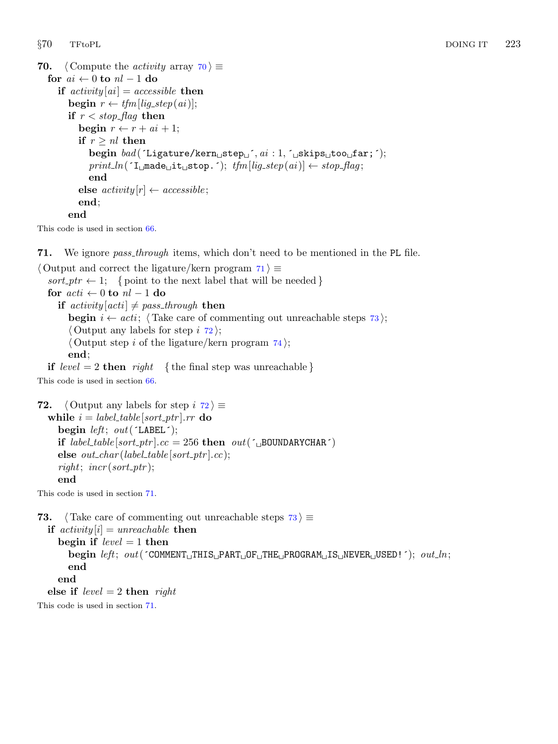```
70. \langle Compute the activity array 70 \rangle \equivfor ai \leftarrow 0 to nl - 1 do
      if activity[ai] = accessible then
          begin r \leftarrow tfm[lig_step(ai)];
          if r < stop-flag then
             begin r \leftarrow r + ai + 1;
             if r \geq nl then
                 begin bad(\text{Ligature/kern}_{\sqcup}step\sqcup, ai: 1, \text{Lskips}_{\sqcup}too\sqcupfar;\land);
                 print\_ln(\lceil \text{I}_{\sqcup} \text{made}_{\sqcup} \text{it}_{\sqcup} \text{stop}.\lceil \text{I}_{\sqcup} \text{ifm}[\text{lig}_\neg \text{step}(ai)] \leftarrow stop\_flag;end
             else activity[r] \leftarrow accessible;end;
          end
```
This code is used in section [66](#page-20-0).

71. We ignore *pass\_through* items, which don't need to be mentioned in the PL file.

```
\langle Output and correct the ligature/kern program 71\rangle \equivsort\_ptr \leftarrow 1; { point to the next label that will be needed }
  for acti \leftarrow 0 to nl - 1 do
     if activity[acti] \neq pass\_through then
       begin i \leftarrow acti; \langle Take care of commenting out unreachable steps 73\rangle;
        \langle Output any labels for step i 72\rangle;
        \langle Output step i of the ligature/kern program 74;
       end;
  if level = 2 then right { the final step was unreachable}
```
This code is used in section [66](#page-20-0).

```
72. \langle Output any labels for step i 72 \rangle \equivwhile i = label_table[sort\_ptr].rr do
     begin left; out(\inLABEL\in);
     if label_table[sort_ptr].cc = 256 then out(\DeltaBOUNDARYCHAR\Delta)
     else out\_char(label\_table[sort\_ptr].cc);right; incr(sort_ptr);
     end
```
This code is used in section 71.

```
73. \langle Take care of commenting out unreachable steps 73 \rangle \equivif activity[i] = unreachable then
      begin if level = 1 then
          \text{begin } let; out(\text{COMMENT} \sqcup \text{HIS} \sqcup \text{PART} \sqcup \text{OF} \sqcup \text{THE} \sqcup \text{PROGRAM} \sqcup \text{IS} \sqcup \text{NEVER} \sqcup \text{SED}! \;'); \; out\_ln;end
      end
   else if level = 2 then right
```
This code is used in section 71.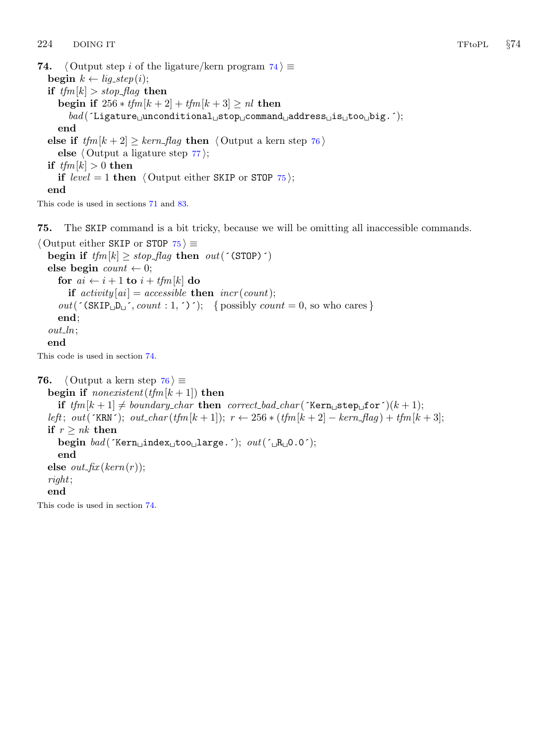```
74. \langle Output step i of the ligature/kern program 74\rangle \equivbegin k \leftarrow lig\_step(i);if tfm[k] > stop\_flag then
     begin if 256 * tfm[k + 2] + tfm[k + 3] \geq nl then
        \mathit{bad}(\lq\text{-}Ligature\_unconditional\_stop\_command\_address\_is\_iso\_big..);end
  else if tfm[k+2] \geq \text{kern}\text{-flag} then \langle Output a kern step 76 \rangleelse \langle77\rangle;
  if tfm[k] > 0 then
     if level = 1 then \langle Output either SKIP or STOP 75\rangle;
  end
```
This code is used in sections [71](#page-22-0) and [83](#page-25-0).

75. The SKIP command is a bit tricky, because we will be omitting all inaccessible commands.

```
\langle Output either SKIP or STOP 75 \rangle \equivbegin if tfm[k] \geq stop\_{flag} then out('(\text{STOP})')else begin count \leftarrow 0;
     for ai \leftarrow i + 1 to i + tfm[k] do
        if activity[ai] = accessible then incr(count);out(\text{'(SKIP<sub>LI</sub>D<sub>LI</sub>', count : 1, ')}'); { possibly count = 0, so who cares }
     end;
  out\_ln;
  end
This code is used in section 74.
76. \langle Output a kern step 76 \rangle \equivbegin if nonexistent(tfm[k + 1]) then
     if tfm[k+1] \neq boundary_{char} then correct bad char (´Kern step for´)(k + 1);
```

```
left; out('KRN'); out char (t/m[k+1]); r \leftarrow 256 * (t/m[k+2] - kern flag ) + t/m[k+3];
if r > nk then
  begin bad('Kern_\text{L}index_\text{L}too_\text{L}large.');\ out('_\text{L}R_\text{L}0.0');end
else out\_fix(kern(r));right;
end
```
This code is used in section 74.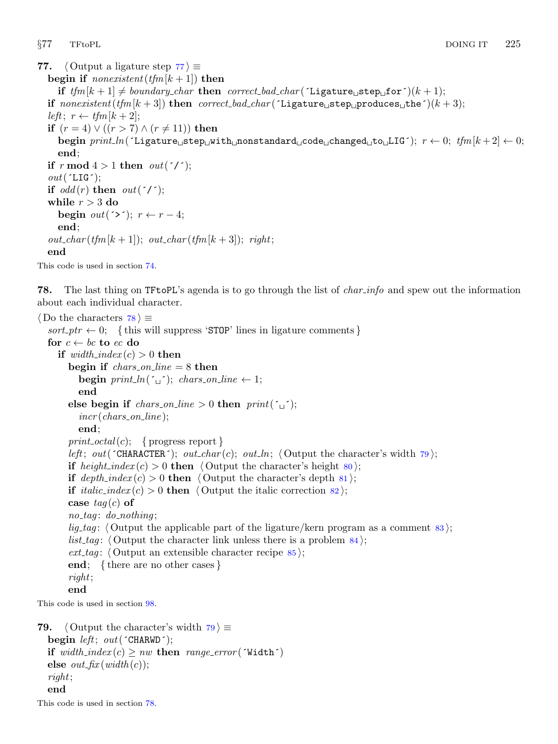```
77. \langle Output a ligature step 77 \rangle \equivbegin if nonexistent (tfm[k + 1]) then
     if tfm[k+1] \neq boundary_{char} then correct bad char (\text{Ligature}_{\text{u}}\text{step}_{\text{u}}\text{for}^{\star})(k+1);
  if nonexistent(tfm[k + 3]) then correct bad char(\tilde{\text{Ligature}} step produces the \tilde{\text{L}}(k+3);
  left; r \leftarrow tfm[k+2];
  if (r = 4) ∨ ((r > 7) ∧ (r ≠ 11)) then
     begin print\_ln( 'Ligature step with nonstandard code changed to LIG'); r \leftarrow 0; tfm[k+2] \leftarrow 0;
     end;
  if r mod 4 > 1 then out('');
  out('LIG');if odd(r) then out('/;
  while r > 3 do
     begin out(\leq); r \leftarrow r - 4;
     end;
  out\_char(tfm[k+1]); out\_char(tfm[k+3]); right;
  end
```
This code is used in section [74](#page-23-0).

**78.** The last thing on TFtoPL's agenda is to go through the list of *char-info* and spew out the information about each individual character.

```
\langle Do the characters 78 \rangle \equivsort\_ptr \leftarrow 0; \{ this will suppress 'STOP' lines in lighture comments \}for c \leftarrow bc to ec do
   if width\_index(c) > 0 then
     begin if \text{chars\_on\_line} = 8 then
        begin print ln(\lceil \cdot \rfloor; chars on line \leftarrow 1;
       end
     else begin if chars_on_line > 0 then print('_1');
        incr(chars_0,line);end;
     print\_octal(c); { progress report }
      left; out(\text{CHARACTER'}); out_char(c); out_ln; \text{Output} the character's width 79);
     if height index (c) > 0 then \langle80\rangle;
     if depth\_index(c) > 0 then \langle81\rangle;
     if italic_index (c) > 0 then \langle82\rangle;
     case tag(c) of
      no\_tag: do\_nothing;
      lig tag: \langle83\rangle;
      list_tag: \langle84\rangle;
      ext\_tag85);
     end; { there are no other cases }
      right;
     end
This code is used in section 98.
```

```
79. \langle Output the character's width 79 \rangle \equivbegin left; out('CHARMD');if width\_index(c) \geq nw then range\_error('Width')else out\_fix(width(c));right;
  end
```
This code is used in section 78.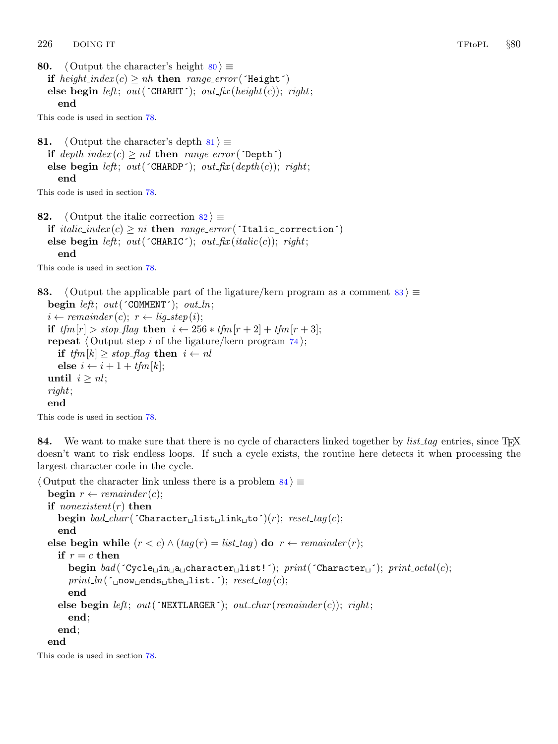<span id="page-25-0"></span>80.  $\langle$  Output the character's height 80  $\rangle \equiv$ if  $height\_index(c) \ge nh$  then range\_error('Height') else begin left; out( $'CHARHT'$ ); out fix (height(c)); right; end

This code is used in section [78](#page-24-0).

81.  $\langle$  Output the character's depth 81  $\rangle \equiv$ if  $depth\_index(c) \geq nd$  then range\_error( $\text{Depth} \uparrow$ ) else begin left; out( $'$ CHARDP $'$ ); out fix (depth (c)); right; end

This code is used in section [78](#page-24-0).

82.  $\langle$  Output the italic correction 82  $\rangle \equiv$ if *italic\_index*(c)  $\geq ni$  then range\_error( $\text{Italic}\_\text{correction}$ ) else begin left; out( $\text{CHARTC}$ ); out\_fix(italic(c)); right; end

This code is used in section [78](#page-24-0).

83.  $\langle$  Output the applicable part of the ligature/kern program as a comment 83  $\rangle \equiv$ begin left; out( $\text{COMMENT}$ ; out\_ln;  $i \leftarrow remainder(c); r \leftarrow lig\_step(i);$ if  $tfm[r] > stop\_flag$  then  $i \leftarrow 256 * tfm[r + 2] + tfm[r + 3];$ repeat  $\langle$  Output step i of the ligature/kern program  $74$ ; if  $tfm[k] \geq stop\_{flag}$  then  $i \leftarrow nl$ else  $i \leftarrow i + 1 + t$ fm $[k]$ ; until  $i \geq nl$ ; right; end

This code is used in section [78](#page-24-0).

84. We want to make sure that there is no cycle of characters linked together by  $list\_tag$  entries, since T<sub>E</sub>X doesn't want to risk endless loops. If such a cycle exists, the routine here detects it when processing the largest character code in the cycle.

```
\langle Output the character link unless there is a problem 84 \rangle \equivbegin r \leftarrow remainder(c);
  if nonexistent(r) then
     begin bad_char(\text{Char}(\text{C}haracter\text{Cl}ist\text{Cl}ink\text{C}to\text{C}); reset_tag(c);
     end
  else begin while (r < c) \wedge (tag(r) = list\_tag) do r \leftarrow remainder(r);
     if r = c then
        begin bad('Cycle\_in\_a \& Cartesian]ist!'); print('Character\_'); print_0; print_0print\_ln( \lceil \text{conv\_ends\_the\_list.} \rceil); reset\_tag (c);
        end
     else begin left; out('NEXTLARGE; out_char(remainder(c)); right;
        end;
     end;
  end
This code is used in section 78.
```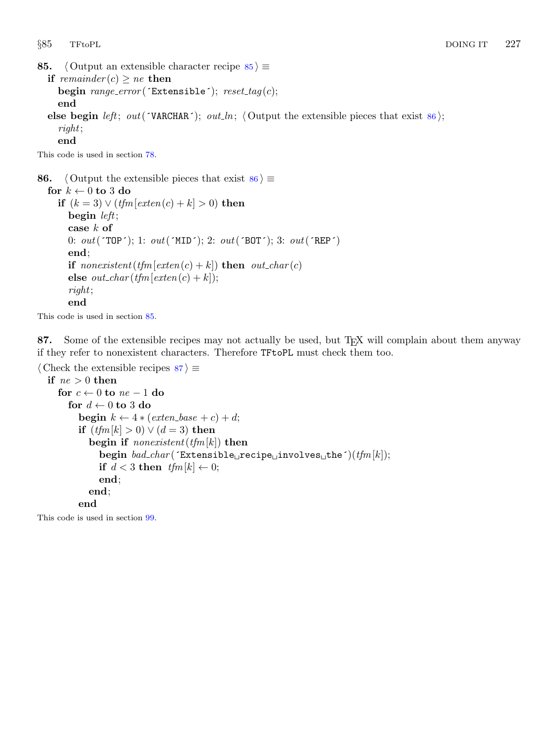```
85. \langle Output an extensible character recipe 85 \rangle \equivif remainder (c) \geq ne then
    begin range_error (Extensible'); reset\_tag(c);
    end
  else begin left; out(´VARCHAR´); out ln; (Output the extensible pieces that exist 86);
    right;
    end
```
This code is used in section [78](#page-24-0).

```
86. \langle Output the extensible pieces that exist 86 \rangle \equivfor k \leftarrow 0 to 3 do
    if (k = 3) \vee (tfm[exten(c) + k] > 0) then
       begin left;
       case k of
       0: out('TOP'); 1: out('MID'); 2: out('BOT'); 3: out('REF')end;
       if nonexistent(tfm[exten(c) + k]) then out_char(c)
       else out\_char(tfm[exten(c) + k]);
       right;
       end
```
This code is used in section 85.

87. Some of the extensible recipes may not actually be used, but T<sub>EX</sub> will complain about them anyway if they refer to nonexistent characters. Therefore TFtoPL must check them too.

```
\langle Check the extensible recipes 87 \rangle \equiv
```

```
if ne > 0 then
   for c \leftarrow 0 to ne - 1 do
     for d \leftarrow 0 to 3 do
        begin k \leftarrow 4 * (exten\_base + c) + d;if (t/m[k] > 0) \vee (d = 3) then
           begin if nonexistent(tfm[k]) then
              begin bad_char(\text{`Extensible}<sub>u</sub>recipe<sub>u</sub>involves<sub>u</sub>the\text{`})(tfm[k]);
              if d < 3 then tfm[k] \leftarrow 0;end;
           end;
        end
```
This code is used in section [99](#page-31-0).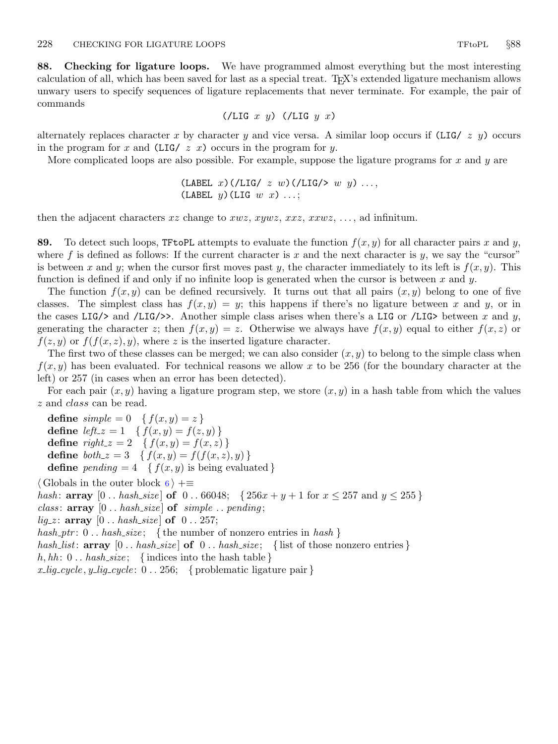<span id="page-27-0"></span>88. Checking for ligature loops. We have programmed almost everything but the most interesting calculation of all, which has been saved for last as a special treat. TEX's extended ligature mechanism allows unwary users to specify sequences of ligature replacements that never terminate. For example, the pair of commands

$$
(\angle LIG \ x \ y) \ (\angle LIG \ y \ x)
$$

alternately replaces character x by character y and vice versa. A similar loop occurs if  $(LIG / z y)$  occurs in the program for x and  $(LIG / z x)$  occurs in the program for y.

More complicated loops are also possible. For example, suppose the ligature programs for x and y are

(LABEL x)(/LIG/  $z \, w$ )(/LIG/>  $w \, y$ )... (LABEL  $y$ ) (LIG  $w$   $x$ ) ...;

then the adjacent characters xz change to xwz, xywz, xxz, xxwz, ..., ad infinitum.

89. To detect such loops, TFtoPL attempts to evaluate the function  $f(x, y)$  for all character pairs x and y, where f is defined as follows: If the current character is x and the next character is y, we say the "cursor" is between x and y; when the cursor first moves past y, the character immediately to its left is  $f(x, y)$ . This function is defined if and only if no infinite loop is generated when the cursor is between x and y.

The function  $f(x, y)$  can be defined recursively. It turns out that all pairs  $(x, y)$  belong to one of five classes. The simplest class has  $f(x, y) = y$ ; this happens if there's no ligature between x and y, or in the cases LIG/ $>$  and /LIG/ $>$ . Another simple class arises when there's a LIG or /LIG $>$  between x and y, generating the character z; then  $f(x, y) = z$ . Otherwise we always have  $f(x, y)$  equal to either  $f(x, z)$  or  $f(z, y)$  or  $f(f(x, z), y)$ , where z is the inserted ligature character.

The first two of these classes can be merged; we can also consider  $(x, y)$  to belong to the simple class when  $f(x, y)$  has been evaluated. For technical reasons we allow x to be 256 (for the boundary character at the left) or 257 (in cases when an error has been detected).

For each pair  $(x, y)$  having a ligature program step, we store  $(x, y)$  in a hash table from which the values z and class can be read.

define  $simple = 0 \{ f(x, y) = z \}$ define  $left_z = 1 \quad \{ f(x, y) = f(z, y) \}$ define  $right_z = 2 \{ f(x, y) = f(x, z) \}$ define  $both\_z = 3 \quad \{f(x,y) = f(f(x,z), y)\}\$ **define** pending  $= 4 \{ f(x, y) \text{ is being evaluated } \}$ 

 $\langle$  Globals in the outer block [6](#page-2-0)  $\rangle$  +≡

hash: **array**  $[0..$  hash\_size **of**  $0..$  66048;  $\{256x + y + 1$  for  $x \le 257$  and  $y \le 255\}$ 

*class:*  $array [0..hash_size]$  of  $simple..pending;$ 

 $lig_z$ : array  $[0..hash_size]$  of  $[0..257]$ ;

hash\_ptr:  $0$ .. hash\_size; {the number of nonzero entries in hash}

hash list: array  $[0 \tcdot \text{hash_size}]$  of  $[0 \tcdot \text{hash_size}]$ ; { list of those nonzero entries }

h, hh:  $0$ .. hash\_size; {indices into the hash table }

 $x_{\text{u}}\rightarrow x_{\text{u}}\rightarrow y_{\text{u}}\rightarrow cycle: 0 \dots 256; \text{ {problematic lighture pair }}$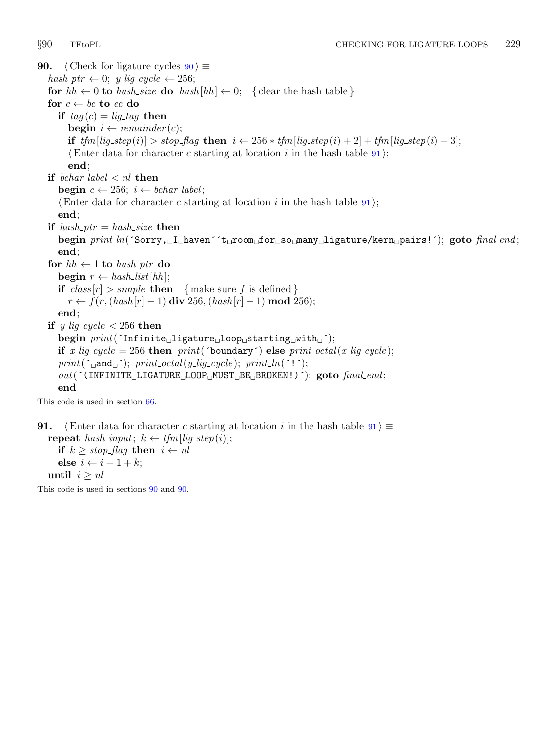<span id="page-28-0"></span>90. (Check for ligature cycles  $90 \ge$  $hash\_ptr \leftarrow 0; y\_lig\_cycle \leftarrow 256;$ for  $hh \leftarrow 0$  to hash size do hash  $[hh] \leftarrow 0$ ; { clear the hash table } for  $c \leftarrow bc$  to ec do if  $tag (c) = lig\_tag$  then **begin**  $i \leftarrow remainder(c)$ ; if  $tfm[lig\_step(i)] > stop\_flag$  then  $i \leftarrow 256 * tfm[lig\_step(i) + 2] + tfm[lig\_step(i) + 3];$ (Enter data for character c starting at location i in the hash table  $91$ ); end; if bchar\_label  $\langle n \rangle$  then begin  $c \leftarrow 256$ ;  $i \leftarrow \text{bchar\_label}$ ;  $\langle$  Enter data for character c starting at location i in the hash table 91 $\rangle$ ; end; if hash\_ptr = hash\_size then begin  $print\_ln($  Sorry,  $\text{I}_\text{L}$ haven  $^{\text{I}}$ t $\text{L}$ room for  $\text{I}$ so many ligature/kern pairs!'); goto final end; end; for  $hh \leftarrow 1$  to hash\_ptr do begin  $r \leftarrow hash\_list[hh];$ if  $class[r] > simple$  then { make sure f is defined }  $r \leftarrow f(r, (hash[r] - 1) \textbf{ div } 256, (hash[r] - 1) \textbf{ mod } 256);$ end; if y\_lig\_cycle  $<$  256 then begin  $print('Infinite_{\cup}ligature_{\cup}loop_{\cup} starting_{\cup}with_{\cup}');$ if x\_lig\_cycle = 256 then print('boundary') else print\_octal(x\_lig\_cycle);  $print(\ulcorner \text{and} \ulcorner)$ ;  $print\_octal(y\_lig\_cycle)$ ;  $print\_ln(\ulcorner ! \ulcorner)$ ;  $out($  (INFINITE LIGATURE LOOP MUST BE BROKEN!) ); goto final end; end

This code is used in section [66](#page-20-0).

91. (Enter data for character c starting at location i in the hash table  $91$ )  $\equiv$ repeat hash\_input;  $k \leftarrow t$ fm[lig\_step(i)]; if  $k \geq stop\_{flag}$  then  $i \leftarrow nl$ else  $i \leftarrow i + 1 + k$ ; until  $i \geq nl$ This code is used in sections 90 and 90.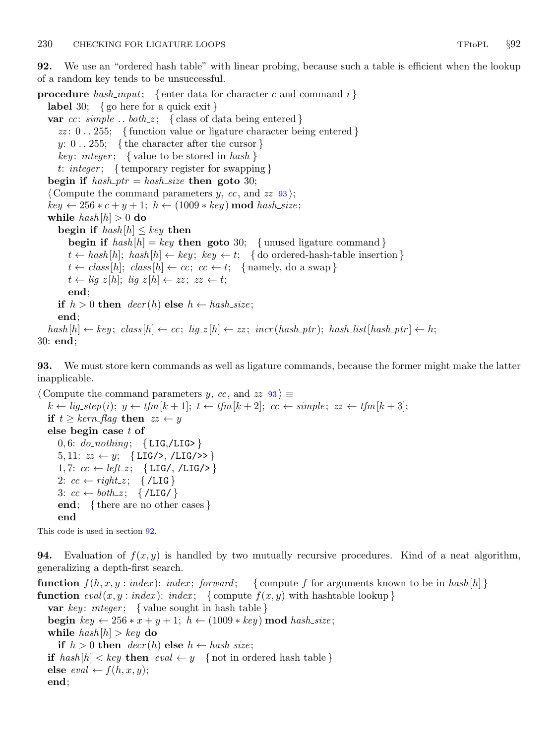<span id="page-29-0"></span>92. We use an "ordered hash table" with linear probing, because such a table is efficient when the lookup of a random key tends to be unsuccessful.

**procedure** hash\_input; { enter data for character c and command i } label 30; { go here for a quick exit } var cc:  $simple$ ...  $both\_z$ ; { class of data being entered }  $zz: 0.255$ ; { function value or ligature character being entered }  $y: 0 \ldots 255; \{ the character after the cursor \}$ key: integer; { value to be stored in hash } t: integer; { temporary register for swapping } begin if  $hash\_ptr = hash\_size$  then goto 30;  $\langle$  Compute the command parameters y, cc, and zz  $\overline{93}$ ;  $key \leftarrow 256*c+y+1; h \leftarrow (1009 * key) \text{ mod } hash\_size;$ while  $hash[h] > 0$  do begin if  $hash[h] \leq key$  then begin if  $hash[h] = key$  then goto 30; {unused ligature command}  $t \leftarrow hash[h]; \; hash[h] \leftarrow key; \; key \leftarrow t; \; \{ \text{do ordered-hash-table insertion} \}$  $t \leftarrow class[h]; \text{ class } [h] \leftarrow cc; \text{ } cc \leftarrow t; \text{ { namely, do a swap }}$  $t \leftarrow lig_z[h]; \, lig_z[h] \leftarrow zz; \, zz \leftarrow t;$ end; if  $h > 0$  then  $decr(h)$  else  $h \leftarrow hash\_size$ ; end;  $hash[h] \leftarrow key; class[h] \leftarrow cc; lig_z[h] \leftarrow zz; incr(hash_ptr); hash_list[hash_ptr] \leftarrow h;$ 

30: end;

93. We must store kern commands as well as ligature commands, because the former might make the latter inapplicable.

 $\langle$  Compute the command parameters y, cc, and  $zz$  93 $\rangle \equiv$  $k \leftarrow lig\_step(i); y \leftarrow tfm[k+1]; t \leftarrow tfm[k+2]; cc \leftarrow simple; zz \leftarrow tfm[k+3];$ if  $t \geq \textit{kern}\text{-}\textit{flag}$  then  $zz \leftarrow y$ else begin case t of 0, 6:  $do\_nothing$ ; {LIG,/LIG>} 5, 11:  $zz \leftarrow y$ ; {LIG/>, /LIG/>>} 1,7:  $cc \leftarrow left_z$ ; {LIG/, /LIG/>} 2:  $cc \leftarrow right\_z; \quad \{ / LIG \}$ 3:  $cc \leftarrow both\_z$ ; {/LIG/} end; { there are no other cases } end

This code is used in section 92.

**94.** Evaluation of  $f(x, y)$  is handled by two mutually recursive procedures. Kind of a neat algorithm, generalizing a depth-first search.

**function**  $f(h, x, y : index)$ : index; forward; {compute f for arguments known to be in hash [h] } **function**  $eval(x, y : index): index; \{ compute f(x, y) with hashtable lookup\}$ **var** key: integer; { value sought in hash table } begin key  $\leftarrow 256*x+y+1; h \leftarrow (1009*key) \mod hash\_size;$ while  $hash[h] > key$  do if  $h > 0$  then  $decr(h)$  else  $h \leftarrow hash\_size$ ; if  $hash[h] < key$  then  $eval \leftarrow y$  { not in ordered hash table } else  $eval \leftarrow f(h, x, y);$ end;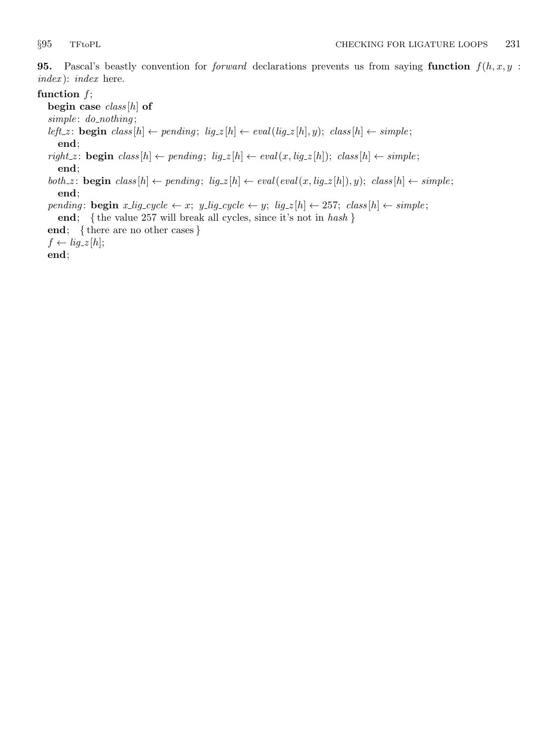<span id="page-30-0"></span>**95.** Pascal's beastly convention for *forward* declarations prevents us from saying function  $f(h, x, y)$ : index ): index here.

## function  $f$ ;

begin case  $class[h]$  of  $simple: do\_nothing;$ left\_z: **begin**  $class[h] \leftarrow pending; lig_z[h] \leftarrow eval(lig_z[h], y); class[h] \leftarrow simple;$ end;  $\mathit{right\_z} \colon \mathbf{begin}\; class[h] \leftarrow \mathit{pending}; \; \mathit{lig\_z}[h] \leftarrow \mathit{eval(x, lig\_z[h])}; \; \mathit{class}[h] \leftarrow \mathit{simple};$ 

end;  $both.z: \text{begin } class[h] \leftarrow pending; lig.z[h] \leftarrow eval(eval(x, lig.z[h]), y); class[h] \leftarrow simple;$ 

end;

pending: **begin**  $x$ -lig-cycle  $\leftarrow x$ ;  $y$ -lig-cycle  $\leftarrow y$ ; lig- $z[h] \leftarrow 257$ ; class  $[h] \leftarrow simple$ ;

end; { the value 257 will break all cycles, since it's not in hash }

end; { there are no other cases }

 $f \leftarrow lig_zz[h];$ 

end;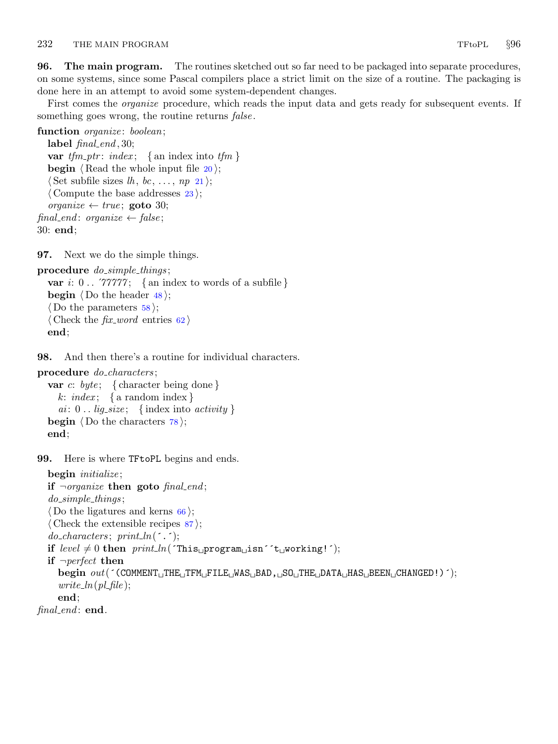<span id="page-31-0"></span>**96.** The main program. The routines sketched out so far need to be packaged into separate procedures, on some systems, since some Pascal compilers place a strict limit on the size of a routine. The packaging is done here in an attempt to avoid some system-dependent changes.

First comes the *organize* procedure, which reads the input data and gets ready for subsequent events. If something goes wrong, the routine returns *false*.

```
function organize: boolean;
```

```
label final\_end, 30;
  var tfm\_ptr: index; \{ \text{an index into } tfm \}begin \langle Read the whole input file 20;
  \langle Set subfile sizes 21 \rangle;\langle23\rangle;
  organize \leftarrow true; goto 30;
final_end: organize \leftarrow false;
30: end;
```
97. Next we do the simple things.

```
procedure do\_simple\_things;var i: 0 \ldots 77777; { an index to words of a subfile }
  begin \langle Do the header 48;
  \langle Do the parameters 58;
  (Check the fix\_word62)
  end;
```
98. And then there's a routine for individual characters.

```
procedure do_characters;
```

```
var c: byte; { character being done }
  k: index; \{ a random index \}ai: 0.. lig_size; {index into activity}
begin \langle78\rangle;
end;
```
99. Here is where TFtoPL begins and ends.

```
begin initialize;
  if \negorganize then goto final end;
   do_simple_things;
   \langle66\rangle;
   \langle Check the extensible recipes 87;
   do{\_}characters;~print{\_}(^{\prime}\cdot\cdot);if level \neq 0 then print\_ln( This program isn i t working! i);
  if \neg perfect then
      \text{begin} \text{out}(\text{'COMMENT} \text{th} \text{THE} \text{th} \text{THE} \text{at} \text{HE} \text{at} \text{MAS} \text{th} \text{BAD}, \text{CMA} \text{C} \text{HAC} \text{HAS} \text{th} \text{BEM} \text{C} \text{HANGED}!)write\_ln(pl\_file);end;
final end: end.
```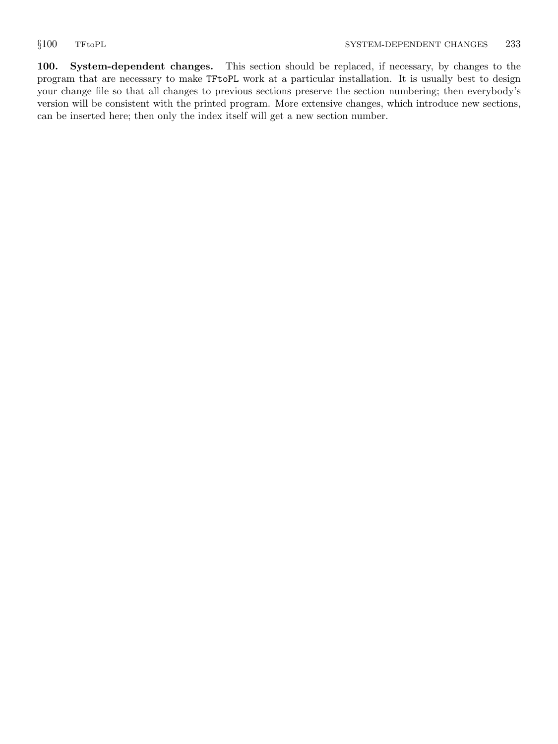<span id="page-32-0"></span>100. System-dependent changes. This section should be replaced, if necessary, by changes to the program that are necessary to make TFtoPL work at a particular installation. It is usually best to design your change file so that all changes to previous sections preserve the section numbering; then everybody's version will be consistent with the printed program. More extensive changes, which introduce new sections, can be inserted here; then only the index itself will get a new section number.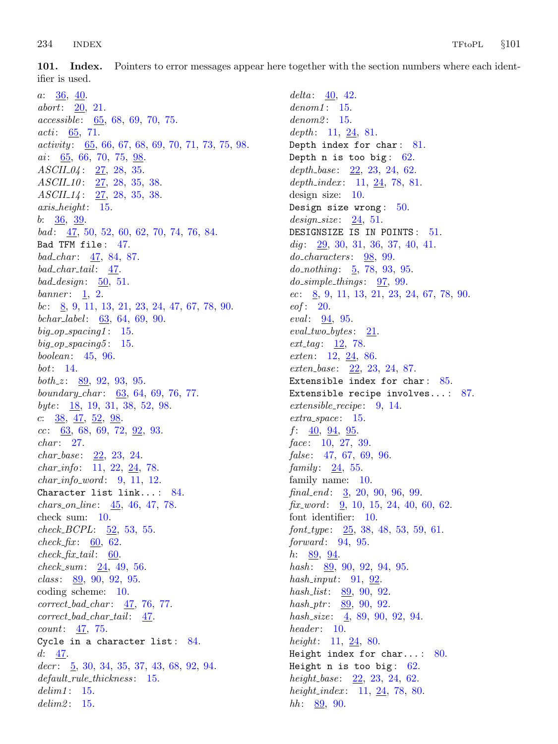<span id="page-33-0"></span>101. Index. Pointers to error messages appear here together with the section numbers where each identifier is used.

 $a: 36, 40.$  $a: 36, 40.$  $a: 36, 40.$  $a: 36, 40.$  $a: 36, 40.$ abort: [20,](#page-8-0) [21](#page-9-0). accessible: [65,](#page-20-0) [68,](#page-21-0) [69](#page-21-0), [70](#page-22-0), [75](#page-23-0). acti: [65](#page-20-0), [71](#page-22-0).  $activity: 65, 66, 67, 68, 69, 70, 71, 73, 75, 98.$  $activity: 65, 66, 67, 68, 69, 70, 71, 73, 75, 98.$  $activity: 65, 66, 67, 68, 69, 70, 71, 73, 75, 98.$  $activity: 65, 66, 67, 68, 69, 70, 71, 73, 75, 98.$  $activity: 65, 66, 67, 68, 69, 70, 71, 73, 75, 98.$  $activity: 65, 66, 67, 68, 69, 70, 71, 73, 75, 98.$  $activity: 65, 66, 67, 68, 69, 70, 71, 73, 75, 98.$  $activity: 65, 66, 67, 68, 69, 70, 71, 73, 75, 98.$  $activity: 65, 66, 67, 68, 69, 70, 71, 73, 75, 98.$  $activity: 65, 66, 67, 68, 69, 70, 71, 73, 75, 98.$  $activity: 65, 66, 67, 68, 69, 70, 71, 73, 75, 98.$  $activity: 65, 66, 67, 68, 69, 70, 71, 73, 75, 98.$  $activity: 65, 66, 67, 68, 69, 70, 71, 73, 75, 98.$  $activity: 65, 66, 67, 68, 69, 70, 71, 73, 75, 98.$  $activity: 65, 66, 67, 68, 69, 70, 71, 73, 75, 98.$  $activity: 65, 66, 67, 68, 69, 70, 71, 73, 75, 98.$  $activity: 65, 66, 67, 68, 69, 70, 71, 73, 75, 98.$  $activity: 65, 66, 67, 68, 69, 70, 71, 73, 75, 98.$  $activity: 65, 66, 67, 68, 69, 70, 71, 73, 75, 98.$  $activity: 65, 66, 67, 68, 69, 70, 71, 73, 75, 98.$  $ai$ : [65](#page-20-0), [66,](#page-20-0) [70,](#page-22-0) [75](#page-23-0), [98.](#page-31-0)  $ASCH_04: 27, 28, 35.$  $ASCH_04: 27, 28, 35.$  $ASCH_04: 27, 28, 35.$  $ASCH_04: 27, 28, 35.$  $ASCH_04: 27, 28, 35.$  $ASCH_04: 27, 28, 35.$  $ASCH_04: 27, 28, 35.$ ASCII-10: [27](#page-11-0), [28,](#page-11-0) [35](#page-12-0), [38](#page-13-0). ASCII<sub>-14</sub>: [27](#page-11-0), [28,](#page-11-0) [35](#page-12-0), [38](#page-13-0). axis height: [15](#page-7-0). b:  $36, 39$  $36, 39$  $36, 39$ . bad: [47](#page-15-0), [50](#page-16-0), [52,](#page-17-0) [60,](#page-18-0) [62](#page-19-0), [70,](#page-22-0) [74,](#page-23-0) [76](#page-23-0), [84](#page-25-0). Bad TFM file : [47.](#page-15-0) bad\_char: [47](#page-15-0), [84,](#page-25-0) [87.](#page-26-0)  $bad\_char\_tail: 47.$  $bad\_char\_tail: 47.$  $bad\_design: 50, 51.$  $bad\_design: 50, 51.$  $bad\_design: 50, 51.$  $bad\_design: 50, 51.$ banner:  $1, 2$  $1, 2$ . bc:  $8, 9, 11, 13, 21, 23, 24, 47, 67, 78, 90.$  $8, 9, 11, 13, 21, 23, 24, 47, 67, 78, 90.$  $8, 9, 11, 13, 21, 23, 24, 47, 67, 78, 90.$  $8, 9, 11, 13, 21, 23, 24, 47, 67, 78, 90.$  $8, 9, 11, 13, 21, 23, 24, 47, 67, 78, 90.$  $8, 9, 11, 13, 21, 23, 24, 47, 67, 78, 90.$  $8, 9, 11, 13, 21, 23, 24, 47, 67, 78, 90.$  $8, 9, 11, 13, 21, 23, 24, 47, 67, 78, 90.$  $8, 9, 11, 13, 21, 23, 24, 47, 67, 78, 90.$  $8, 9, 11, 13, 21, 23, 24, 47, 67, 78, 90.$  $8, 9, 11, 13, 21, 23, 24, 47, 67, 78, 90.$  $8, 9, 11, 13, 21, 23, 24, 47, 67, 78, 90.$  $8, 9, 11, 13, 21, 23, 24, 47, 67, 78, 90.$  $8, 9, 11, 13, 21, 23, 24, 47, 67, 78, 90.$  $8, 9, 11, 13, 21, 23, 24, 47, 67, 78, 90.$  $8, 9, 11, 13, 21, 23, 24, 47, 67, 78, 90.$  $8, 9, 11, 13, 21, 23, 24, 47, 67, 78, 90.$  $8, 9, 11, 13, 21, 23, 24, 47, 67, 78, 90.$  $8, 9, 11, 13, 21, 23, 24, 47, 67, 78, 90.$  $8, 9, 11, 13, 21, 23, 24, 47, 67, 78, 90.$  $8, 9, 11, 13, 21, 23, 24, 47, 67, 78, 90.$  $8, 9, 11, 13, 21, 23, 24, 47, 67, 78, 90.$ bchar label : [63,](#page-20-0) [64](#page-20-0), [69](#page-21-0), [90.](#page-28-0)  $big\_op\_spacing1: 15.$  $big\_op\_spacing1: 15.$ big\_op\_spacing5:  $15$ . boolean: [45](#page-15-0), [96](#page-31-0). bot: [14.](#page-6-0) *both\_z*:  $89, 92, 93, 95.$  $89, 92, 93, 95.$  $89, 92, 93, 95.$  $89, 92, 93, 95.$  $89, 92, 93, 95.$  $89, 92, 93, 95.$  $89, 92, 93, 95.$ boundary char : [63](#page-20-0), [64](#page-20-0), [69](#page-21-0), [76](#page-23-0), [77.](#page-24-0) byte:  $\frac{18}{19}$  $\frac{18}{19}$  $\frac{18}{19}$ , [19,](#page-8-0) [31,](#page-11-0) [38](#page-13-0), [52](#page-17-0), [98.](#page-31-0) c:  $\frac{38}{96}, \frac{47}{96}, \frac{52}{98}.$  $\frac{38}{96}, \frac{47}{96}, \frac{52}{98}.$  $\frac{38}{96}, \frac{47}{96}, \frac{52}{98}.$  $cc: \underline{63}$  $cc: \underline{63}$  $cc: \underline{63}$ , [68,](#page-21-0) [69](#page-21-0), [72,](#page-22-0) <u>92</u>, [93](#page-29-0).  $char: 27.$  $char: 27.$  $char: 27.$  $char\_base: 22, 23, 24.$  $char\_base: 22, 23, 24.$  $char\_base: 22, 23, 24.$  $char\_base: 22, 23, 24.$  $char\_base: 22, 23, 24.$  $char\_base: 22, 23, 24.$ char info: [11](#page-5-0), [22,](#page-9-0) [24](#page-10-0), [78.](#page-24-0)  $char\_info\_word: 9, 11, 12.$  $char\_info\_word: 9, 11, 12.$  $char\_info\_word: 9, 11, 12.$  $char\_info\_word: 9, 11, 12.$  $char\_info\_word: 9, 11, 12.$  $char\_info\_word: 9, 11, 12.$ Character list link... : [84.](#page-25-0)  $chars\_on\_line: 45, 46, 47, 78.$  $chars\_on\_line: 45, 46, 47, 78.$  $chars\_on\_line: 45, 46, 47, 78.$  $chars\_on\_line: 45, 46, 47, 78.$  $chars\_on\_line: 45, 46, 47, 78.$  $chars\_on\_line: 45, 46, 47, 78.$  $chars\_on\_line: 45, 46, 47, 78.$  $chars\_on\_line: 45, 46, 47, 78.$  $chars\_on\_line: 45, 46, 47, 78.$ check sum: [10.](#page-4-0)  $check\_BCPL: \underline{52}, 53, 55.$  $check\_BCPL: \underline{52}, 53, 55.$  $check\_BCPL: \underline{52}, 53, 55.$  $check\_BCPL: \underline{52}, 53, 55.$  $check\_fix$ : [60](#page-18-0), [62](#page-19-0).  $check\_fix\_tail$ : [60.](#page-18-0)  $check\_sum: 24, 49, 56.$  $check\_sum: 24, 49, 56.$  $check\_sum: 24, 49, 56.$  $check\_sum: 24, 49, 56.$  $check\_sum: 24, 49, 56.$  $check\_sum: 24, 49, 56.$  $check\_sum: 24, 49, 56.$  $class: 89, 90, 92, 95.$  $class: 89, 90, 92, 95.$  $class: 89, 90, 92, 95.$  $class: 89, 90, 92, 95.$  $class: 89, 90, 92, 95.$  $class: 89, 90, 92, 95.$  $class: 89, 90, 92, 95.$  $class: 89, 90, 92, 95.$  $class: 89, 90, 92, 95.$ coding scheme: [10.](#page-4-0)  $correct\_bad\_char: \underline{47}, 76, 77.$  $correct\_bad\_char: \underline{47}, 76, 77.$  $correct\_bad\_char: \underline{47}, 76, 77.$  $correct\_bad\_char: \underline{47}, 76, 77.$  $correct\_bad\_char: \underline{47}, 76, 77.$  $correct\_bad\_char\_tail:$  [47](#page-15-0). count: [47,](#page-15-0) [75.](#page-23-0) Cycle in a character list:  $84$ .  $d: 47.$  $d: 47.$  $decr: \quad 5, 30, 34, 35, 37, 43, 68, 92, 94.$  $decr: \quad 5, 30, 34, 35, 37, 43, 68, 92, 94.$  $decr: \quad 5, 30, 34, 35, 37, 43, 68, 92, 94.$  $decr: \quad 5, 30, 34, 35, 37, 43, 68, 92, 94.$  $decr: \quad 5, 30, 34, 35, 37, 43, 68, 92, 94.$  $decr: \quad 5, 30, 34, 35, 37, 43, 68, 92, 94.$  $decr: \quad 5, 30, 34, 35, 37, 43, 68, 92, 94.$  $decr: \quad 5, 30, 34, 35, 37, 43, 68, 92, 94.$  $decr: \quad 5, 30, 34, 35, 37, 43, 68, 92, 94.$  $decr: \quad 5, 30, 34, 35, 37, 43, 68, 92, 94.$  $decr: \quad 5, 30, 34, 35, 37, 43, 68, 92, 94.$  $decr: \quad 5, 30, 34, 35, 37, 43, 68, 92, 94.$  $decr: \quad 5, 30, 34, 35, 37, 43, 68, 92, 94.$  $decr: \quad 5, 30, 34, 35, 37, 43, 68, 92, 94.$  $decr: \quad 5, 30, 34, 35, 37, 43, 68, 92, 94.$  $decr: \quad 5, 30, 34, 35, 37, 43, 68, 92, 94.$  $decr: \quad 5, 30, 34, 35, 37, 43, 68, 92, 94.$  $decr: \quad 5, 30, 34, 35, 37, 43, 68, 92, 94.$ default\_rule\_thickness: [15](#page-7-0).  $delim1: 15.$  $delim1: 15.$  $delim1: 15.$  $delim2: 15.$  $delim2: 15.$  $delim2: 15.$ 

 $delta: 40, 42.$  $delta: 40, 42.$  $delta: 40, 42.$  $delta: 40, 42.$  $denom1: 15.$  $denom1: 15.$  $denom1: 15.$  $denom2: 15.$  $denom2: 15.$  $denom2: 15.$ depth:  $11, 24, 81$  $11, 24, 81$  $11, 24, 81$  $11, 24, 81$ . Depth index for char: [81](#page-25-0). Depth  $n$  is too big:  $62$ . depth\_base:  $22, 23, 24, 62$  $22, 23, 24, 62$  $22, 23, 24, 62$  $22, 23, 24, 62$  $22, 23, 24, 62$  $22, 23, 24, 62$ . depth index:  $11, 24, 78, 81$  $11, 24, 78, 81$  $11, 24, 78, 81$  $11, 24, 78, 81$  $11, 24, 78, 81$  $11, 24, 78, 81$  $11, 24, 78, 81$ . design size: [10](#page-4-0). Design size wrong:  $50$ .  $design\_size: 24, 51.$  $design\_size: 24, 51.$  $design\_size: 24, 51.$  $design\_size: 24, 51.$  $design\_size: 24, 51.$ DESIGNSIZE IS IN POINTS: [51](#page-16-0). dig:  $29, 30, 31, 36, 37, 40, 41.$  $29, 30, 31, 36, 37, 40, 41.$  $29, 30, 31, 36, 37, 40, 41.$  $29, 30, 31, 36, 37, 40, 41.$  $29, 30, 31, 36, 37, 40, 41.$  $29, 30, 31, 36, 37, 40, 41.$  $29, 30, 31, 36, 37, 40, 41.$  $29, 30, 31, 36, 37, 40, 41.$  $29, 30, 31, 36, 37, 40, 41.$  $29, 30, 31, 36, 37, 40, 41.$  $29, 30, 31, 36, 37, 40, 41.$  $29, 30, 31, 36, 37, 40, 41.$  $29, 30, 31, 36, 37, 40, 41.$  $29, 30, 31, 36, 37, 40, 41.$ do characters: [98](#page-31-0), [99.](#page-31-0)  $do\_nothing: 5, 78, 93, 95.$  $do\_nothing: 5, 78, 93, 95.$  $do\_nothing: 5, 78, 93, 95.$  $do\_nothing: 5, 78, 93, 95.$  $do\_nothing: 5, 78, 93, 95.$  $do\_nothing: 5, 78, 93, 95.$  $do\_nothing: 5, 78, 93, 95.$  $do\_nothing: 5, 78, 93, 95.$  $do\_nothing: 5, 78, 93, 95.$  $do\_simple\_things: 97, 99.$  $do\_simple\_things: 97, 99.$  $do\_simple\_things: 97, 99.$  $do\_simple\_things: 97, 99.$  $do\_simple\_things: 97, 99.$  $ec: \underline{8}, 9, 11, 13, 21, 23, 24, 67, 78, 90.$  $ec: \underline{8}, 9, 11, 13, 21, 23, 24, 67, 78, 90.$  $ec: \underline{8}, 9, 11, 13, 21, 23, 24, 67, 78, 90.$  $ec: \underline{8}, 9, 11, 13, 21, 23, 24, 67, 78, 90.$  $ec: \underline{8}, 9, 11, 13, 21, 23, 24, 67, 78, 90.$  $ec: \underline{8}, 9, 11, 13, 21, 23, 24, 67, 78, 90.$  $ec: \underline{8}, 9, 11, 13, 21, 23, 24, 67, 78, 90.$  $ec: \underline{8}, 9, 11, 13, 21, 23, 24, 67, 78, 90.$  $ec: \underline{8}, 9, 11, 13, 21, 23, 24, 67, 78, 90.$  $ec: \underline{8}, 9, 11, 13, 21, 23, 24, 67, 78, 90.$  $ec: \underline{8}, 9, 11, 13, 21, 23, 24, 67, 78, 90.$  $ec: \underline{8}, 9, 11, 13, 21, 23, 24, 67, 78, 90.$  $ec: \underline{8}, 9, 11, 13, 21, 23, 24, 67, 78, 90.$  $ec: \underline{8}, 9, 11, 13, 21, 23, 24, 67, 78, 90.$  $ec: \underline{8}, 9, 11, 13, 21, 23, 24, 67, 78, 90.$  $ec: \underline{8}, 9, 11, 13, 21, 23, 24, 67, 78, 90.$  $ec: \underline{8}, 9, 11, 13, 21, 23, 24, 67, 78, 90.$  $ec: \underline{8}, 9, 11, 13, 21, 23, 24, 67, 78, 90.$  $ec: \underline{8}, 9, 11, 13, 21, 23, 24, 67, 78, 90.$  $ec: \underline{8}, 9, 11, 13, 21, 23, 24, 67, 78, 90.$  $eof: 20.$  $eof: 20.$  $eof: 20.$  $eval: 94, 95.$  $eval: 94, 95.$  $eval: 94, 95.$  $eval: 94, 95.$  $eval: 94, 95.$  $eval\_two\_bytes: 21.$  $eval\_two\_bytes: 21.$  $ext\_tag: 12, 78.$  $ext\_tag: 12, 78.$  $ext\_tag: 12, 78.$  $ext\_tag: 12, 78.$  $ext\_tag: 12, 78.$ exten: [12,](#page-5-0) [24](#page-10-0), [86](#page-26-0). exten<sub>-</sub>base: [22](#page-9-0), [23](#page-9-0), [24,](#page-10-0) [87](#page-26-0). Extensible index for char:  $85$ . Extensible recipe involves...:  $87$ . extensible\_recipe: [9,](#page-3-0) [14](#page-6-0).  $extra\_space: 15.$  $extra\_space: 15.$  $extra\_space: 15.$  $f: \underline{40}, \underline{94}, \underline{95}.$ face:  $10, 27, 39$  $10, 27, 39$  $10, 27, 39$  $10, 27, 39$ . false:  $47, 67, 69, 96$  $47, 67, 69, 96$  $47, 67, 69, 96$  $47, 67, 69, 96$  $47, 67, 69, 96$  $47, 67, 69, 96$  $47, 67, 69, 96$ . family:  $24, 55$  $24, 55$ . family name: [10.](#page-4-0)  $final\_end$ : [3,](#page-1-0) [20](#page-8-0), [90,](#page-28-0) [96,](#page-31-0) [99](#page-31-0). fix word:  $\frac{9}{9}$ , [10,](#page-4-0) [15](#page-7-0), [24](#page-10-0), [40](#page-14-0), [60](#page-18-0), [62](#page-19-0). font identifier: [10](#page-4-0).  $font\_type: \quad 25, 38, 48, 53, 59, 61.$  $font\_type: \quad 25, 38, 48, 53, 59, 61.$  $font\_type: \quad 25, 38, 48, 53, 59, 61.$  $font\_type: \quad 25, 38, 48, 53, 59, 61.$  $font\_type: \quad 25, 38, 48, 53, 59, 61.$  $font\_type: \quad 25, 38, 48, 53, 59, 61.$  $font\_type: \quad 25, 38, 48, 53, 59, 61.$  $font\_type: \quad 25, 38, 48, 53, 59, 61.$  $font\_type: \quad 25, 38, 48, 53, 59, 61.$  $font\_type: \quad 25, 38, 48, 53, 59, 61.$  $font\_type: \quad 25, 38, 48, 53, 59, 61.$  $font\_type: \quad 25, 38, 48, 53, 59, 61.$  $font\_type: \quad 25, 38, 48, 53, 59, 61.$  $forward: 94, 95.$  $forward: 94, 95.$  $forward: 94, 95.$  $forward: 94, 95.$ *h*:  $89, 94$  $89, 94$ . hash: [89](#page-27-0), [90,](#page-28-0) [92](#page-29-0), [94,](#page-29-0) [95](#page-30-0). hash\_input:  $91, 92$  $91, 92$  $91, 92$ . hash\_list: [89](#page-27-0), [90,](#page-28-0) [92](#page-29-0).  $hash_ptr: 89, 90, 92.$  $hash_ptr: 89, 90, 92.$  $hash_ptr: 89, 90, 92.$  $hash_ptr: 89, 90, 92.$  $hash_ptr: 89, 90, 92.$  $hash_ptr: 89, 90, 92.$  $hash_ptr: 89, 90, 92.$ hash\_size:  $\frac{4}{5}$ , [89](#page-27-0), [90](#page-28-0), [92,](#page-29-0) [94.](#page-29-0)  $header: 10.$  $header: 10.$  $header: 10.$ *height*: [11,](#page-5-0)  $\frac{24}{6}$ , [80](#page-25-0). Height index for char...:  $80$ . Height n is too big:  $62$ . height\_base:  $22, 23, 24, 62$  $22, 23, 24, 62$  $22, 23, 24, 62$  $22, 23, 24, 62$  $22, 23, 24, 62$  $22, 23, 24, 62$  $22, 23, 24, 62$ . height index:  $11, 24, 78, 80$  $11, 24, 78, 80$  $11, 24, 78, 80$  $11, 24, 78, 80$  $11, 24, 78, 80$  $11, 24, 78, 80$  $11, 24, 78, 80$ . *hh*:  $89, 90$  $89, 90$  $89, 90$ .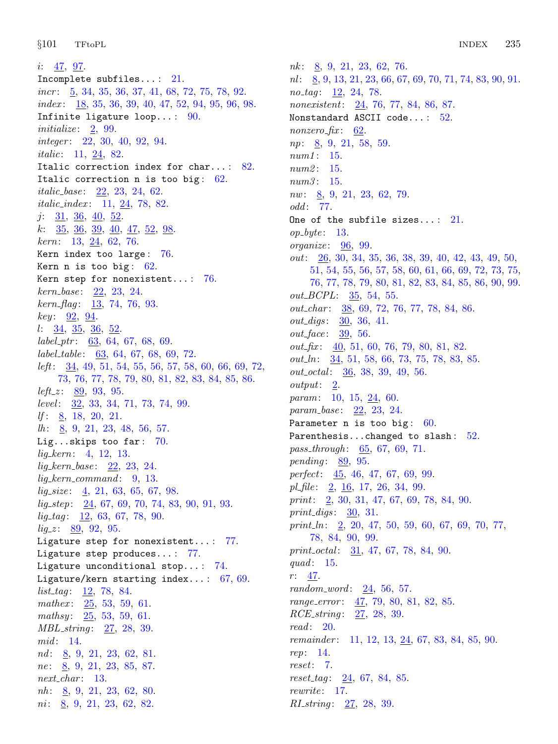i:  $\frac{47}{97}$  $\frac{47}{97}$  $\frac{47}{97}$  $\frac{47}{97}$  $\frac{47}{97}$ . Incomplete subfiles... : [21.](#page-9-0)  $incr$ :  $5, 34, 35, 36, 37, 41, 68, 72, 75, 78, 92.$  $5, 34, 35, 36, 37, 41, 68, 72, 75, 78, 92.$  $5, 34, 35, 36, 37, 41, 68, 72, 75, 78, 92.$  $5, 34, 35, 36, 37, 41, 68, 72, 75, 78, 92.$  $5, 34, 35, 36, 37, 41, 68, 72, 75, 78, 92.$  $5, 34, 35, 36, 37, 41, 68, 72, 75, 78, 92.$  $5, 34, 35, 36, 37, 41, 68, 72, 75, 78, 92.$  $5, 34, 35, 36, 37, 41, 68, 72, 75, 78, 92.$  $5, 34, 35, 36, 37, 41, 68, 72, 75, 78, 92.$  $5, 34, 35, 36, 37, 41, 68, 72, 75, 78, 92.$  $5, 34, 35, 36, 37, 41, 68, 72, 75, 78, 92.$  $5, 34, 35, 36, 37, 41, 68, 72, 75, 78, 92.$  $5, 34, 35, 36, 37, 41, 68, 72, 75, 78, 92.$  $5, 34, 35, 36, 37, 41, 68, 72, 75, 78, 92.$  $5, 34, 35, 36, 37, 41, 68, 72, 75, 78, 92.$  $5, 34, 35, 36, 37, 41, 68, 72, 75, 78, 92.$  $5, 34, 35, 36, 37, 41, 68, 72, 75, 78, 92.$  $5, 34, 35, 36, 37, 41, 68, 72, 75, 78, 92.$  $5, 34, 35, 36, 37, 41, 68, 72, 75, 78, 92.$  $5, 34, 35, 36, 37, 41, 68, 72, 75, 78, 92.$  $5, 34, 35, 36, 37, 41, 68, 72, 75, 78, 92.$  $5, 34, 35, 36, 37, 41, 68, 72, 75, 78, 92.$ index : [18](#page-8-0), [35,](#page-12-0) [36,](#page-12-0) [39,](#page-13-0) [40](#page-14-0), [47](#page-15-0), [52,](#page-17-0) [94,](#page-29-0) [95,](#page-30-0) [96](#page-31-0), [98](#page-31-0). Infinite ligature loop...:  $90.$ initialize:  $2, 99$  $2, 99$  $2, 99$ . integer: [22,](#page-9-0) [30](#page-11-0), [40](#page-14-0), [92,](#page-29-0) [94](#page-29-0). italic: [11](#page-5-0), [24](#page-10-0), [82](#page-25-0). Italic correction index for char...: [82.](#page-25-0) Italic correction n is too big:  $62$ . *italic\_base* :  $22, 23, 24, 62$  $22, 23, 24, 62$  $22, 23, 24, 62$  $22, 23, 24, 62$  $22, 23, 24, 62$  $22, 23, 24, 62$  $22, 23, 24, 62$ . italic index : [11,](#page-5-0) [24,](#page-10-0) [78](#page-24-0), [82.](#page-25-0)  $j: \frac{31}{5}, \frac{36}{5}, \frac{40}{52}.$  $j: \frac{31}{5}, \frac{36}{5}, \frac{40}{52}.$  $j: \frac{31}{5}, \frac{36}{5}, \frac{40}{52}.$  $j: \frac{31}{5}, \frac{36}{5}, \frac{40}{52}.$  $j: \frac{31}{5}, \frac{36}{5}, \frac{40}{52}.$  $j: \frac{31}{5}, \frac{36}{5}, \frac{40}{52}.$  $j: \frac{31}{5}, \frac{36}{5}, \frac{40}{52}.$  $j: \frac{31}{5}, \frac{36}{5}, \frac{40}{52}.$  $j: \frac{31}{5}, \frac{36}{5}, \frac{40}{52}.$  $k: \frac{35}{5}, \frac{36}{5}, \frac{39}{5}, \frac{40}{5}, \frac{47}{5}, \frac{52}{5}, \frac{98}{5}.$  $k: \frac{35}{5}, \frac{36}{5}, \frac{39}{5}, \frac{40}{5}, \frac{47}{5}, \frac{52}{5}, \frac{98}{5}.$  $k: \frac{35}{5}, \frac{36}{5}, \frac{39}{5}, \frac{40}{5}, \frac{47}{5}, \frac{52}{5}, \frac{98}{5}.$  $k: \frac{35}{5}, \frac{36}{5}, \frac{39}{5}, \frac{40}{5}, \frac{47}{5}, \frac{52}{5}, \frac{98}{5}.$  $k: \frac{35}{5}, \frac{36}{5}, \frac{39}{5}, \frac{40}{5}, \frac{47}{5}, \frac{52}{5}, \frac{98}{5}.$  $k: \frac{35}{5}, \frac{36}{5}, \frac{39}{5}, \frac{40}{5}, \frac{47}{5}, \frac{52}{5}, \frac{98}{5}.$  $k: \frac{35}{5}, \frac{36}{5}, \frac{39}{5}, \frac{40}{5}, \frac{47}{5}, \frac{52}{5}, \frac{98}{5}.$  $k: \frac{35}{5}, \frac{36}{5}, \frac{39}{5}, \frac{40}{5}, \frac{47}{5}, \frac{52}{5}, \frac{98}{5}.$  $k: \frac{35}{5}, \frac{36}{5}, \frac{39}{5}, \frac{40}{5}, \frac{47}{5}, \frac{52}{5}, \frac{98}{5}.$ kern: [13,](#page-6-0) [24,](#page-10-0) [62](#page-19-0), [76.](#page-23-0) Kern index too large: [76](#page-23-0). Kern n is too big:  $62$ . Kern step for nonexistent...:  $76$ .  $kern\_base: \quad 22, 23, 24.$  $kern\_base: \quad 22, 23, 24.$  $kern\_base: \quad 22, 23, 24.$  $kern\_base: \quad 22, 23, 24.$  $kern\_base: \quad 22, 23, 24.$  $kern\_base: \quad 22, 23, 24.$  $kern_{mag}: 13, 74, 76, 93.$  $kern_{mag}: 13, 74, 76, 93.$  $kern_{mag}: 13, 74, 76, 93.$  $kern_{mag}: 13, 74, 76, 93.$  $kern_{mag}: 13, 74, 76, 93.$  $kern_{mag}: 13, 74, 76, 93.$  $kern_{mag}: 13, 74, 76, 93.$  $kern_{mag}: 13, 74, 76, 93.$  $key: 92, 94.$  $key: 92, 94.$  $key: 92, 94.$  $key: 92, 94.$  $key: 92, 94.$  $l: \frac{34}{5}, \frac{35}{5}, \frac{36}{52}.$  $label\_ptr:3, 64, 67, 68, 69.$  $label\_ptr:3, 64, 67, 68, 69.$  $label\_ptr:3, 64, 67, 68, 69.$  $label\_ptr:3, 64, 67, 68, 69.$  $label\_ptr:3, 64, 67, 68, 69.$  $label\_ptr:3, 64, 67, 68, 69.$  $label\_ptr:3, 64, 67, 68, 69.$  $label\_ptr:3, 64, 67, 68, 69.$  $label\_ptr:3, 64, 67, 68, 69.$  $label_table$ : [63,](#page-20-0) [64,](#page-20-0) [67](#page-21-0), [68](#page-21-0), [69](#page-21-0), [72](#page-22-0). *left*:  $\frac{34}{49}$ , [49,](#page-16-0) [51](#page-16-0), [54,](#page-17-0) [55](#page-17-0), [56](#page-17-0), [57,](#page-18-0) [58](#page-18-0), [60,](#page-18-0) [66,](#page-20-0) [69](#page-21-0), [72,](#page-22-0) [73,](#page-22-0) [76](#page-23-0), [77](#page-24-0), [78,](#page-24-0) [79,](#page-24-0) [80,](#page-25-0) [81](#page-25-0), [82](#page-25-0), [83,](#page-25-0) [84,](#page-25-0) [85](#page-26-0), [86](#page-26-0). *left\_z*:  $89, 93, 95$  $89, 93, 95$  $89, 93, 95$  $89, 93, 95$  $89, 93, 95$ . *level*:  $\frac{32}{33}$  $\frac{32}{33}$  $\frac{32}{33}$  $\frac{32}{33}$  $\frac{32}{33}$ , 33, [34](#page-12-0), [71](#page-22-0), [73](#page-22-0), [74](#page-23-0), [99](#page-31-0). If :  $8, 18, 20, 21$  $8, 18, 20, 21$  $8, 18, 20, 21$  $8, 18, 20, 21$  $8, 18, 20, 21$  $8, 18, 20, 21$ .  $lh: \underline{8}, 9, 21, 23, 48, 56, 57.$  $lh: \underline{8}, 9, 21, 23, 48, 56, 57.$  $lh: \underline{8}, 9, 21, 23, 48, 56, 57.$  $lh: \underline{8}, 9, 21, 23, 48, 56, 57.$  $lh: \underline{8}, 9, 21, 23, 48, 56, 57.$  $lh: \underline{8}, 9, 21, 23, 48, 56, 57.$  $lh: \underline{8}, 9, 21, 23, 48, 56, 57.$ Lig...skips too far: [70](#page-22-0). lig kern: [4,](#page-1-0) [12,](#page-5-0) [13](#page-6-0).  $lig\_kern\_base: \quad 22, 23, 24.$  $lig\_kern\_base: \quad 22, 23, 24.$  $lig\_kern\_base: \quad 22, 23, 24.$  $lig\_kern\_base: \quad 22, 23, 24.$  $lig\_kern\_base: \quad 22, 23, 24.$  $lig\_kern\_base: \quad 22, 23, 24.$  $lig\_kern\_base: \quad 22, 23, 24.$  $lig\_\textit{kern\_command}: 9, 13.$  $lig\_\textit{kern\_command}: 9, 13.$  $lig\_\textit{kern\_command}: 9, 13.$  $lig\_\textit{kern\_command}: 9, 13.$  $lig\_\textit{kern\_command}: 9, 13.$  $lig\_size:$  [4,](#page-1-0) [21,](#page-9-0) [63,](#page-20-0) [65](#page-20-0), [67](#page-21-0), [98.](#page-31-0)  $lig\_step: \quad 24, 67, 69, 70, 74, 83, 90, 91, 93.$  $lig\_step: \quad 24, 67, 69, 70, 74, 83, 90, 91, 93.$  $lig\_step: \quad 24, 67, 69, 70, 74, 83, 90, 91, 93.$  $lig\_step: \quad 24, 67, 69, 70, 74, 83, 90, 91, 93.$  $lig\_step: \quad 24, 67, 69, 70, 74, 83, 90, 91, 93.$  $lig\_step: \quad 24, 67, 69, 70, 74, 83, 90, 91, 93.$  $lig\_step: \quad 24, 67, 69, 70, 74, 83, 90, 91, 93.$  $lig\_step: \quad 24, 67, 69, 70, 74, 83, 90, 91, 93.$  $lig\_step: \quad 24, 67, 69, 70, 74, 83, 90, 91, 93.$  $lig\_step: \quad 24, 67, 69, 70, 74, 83, 90, 91, 93.$  $lig\_step: \quad 24, 67, 69, 70, 74, 83, 90, 91, 93.$  $lig\_step: \quad 24, 67, 69, 70, 74, 83, 90, 91, 93.$  $lig\_step: \quad 24, 67, 69, 70, 74, 83, 90, 91, 93.$  $lig\_step: \quad 24, 67, 69, 70, 74, 83, 90, 91, 93.$  $lig\_step: \quad 24, 67, 69, 70, 74, 83, 90, 91, 93.$  $lig\_step: \quad 24, 67, 69, 70, 74, 83, 90, 91, 93.$  $lig\_step: \quad 24, 67, 69, 70, 74, 83, 90, 91, 93.$  $lig\_step: \quad 24, 67, 69, 70, 74, 83, 90, 91, 93.$  $lig\_tag$ : [12,](#page-5-0) [63](#page-20-0), [67,](#page-21-0) [78](#page-24-0), [90](#page-28-0).  $lig_z$ : [89](#page-27-0), [92](#page-29-0), [95](#page-30-0). Ligature step for nonexistent...: [77](#page-24-0). Ligature step produces...: [77.](#page-24-0) Ligature unconditional stop... : [74.](#page-23-0) Ligature/kern starting index...:  $67, 69$  $67, 69$  $67, 69$ .  $list\_tag: 12, 78, 84.$  $list\_tag: 12, 78, 84.$  $list\_tag: 12, 78, 84.$  $list\_tag: 12, 78, 84.$  $list\_tag: 12, 78, 84.$  $list\_tag: 12, 78, 84.$  $list\_tag: 12, 78, 84.$ mathex:  $25, 53, 59, 61.$  $25, 53, 59, 61.$  $25, 53, 59, 61.$  $25, 53, 59, 61.$  $25, 53, 59, 61.$  $25, 53, 59, 61.$  $25, 53, 59, 61.$ mathsy:  $25, 53, 59, 61.$  $25, 53, 59, 61.$  $25, 53, 59, 61.$  $25, 53, 59, 61.$  $25, 53, 59, 61.$  $25, 53, 59, 61.$  $25, 53, 59, 61.$  $25, 53, 59, 61.$ MBL\_string: [27,](#page-11-0) [28](#page-11-0), [39.](#page-13-0)  $mid: 14$ . nd:  $8, 9, 21, 23, 62, 81$  $8, 9, 21, 23, 62, 81$  $8, 9, 21, 23, 62, 81$  $8, 9, 21, 23, 62, 81$  $8, 9, 21, 23, 62, 81$  $8, 9, 21, 23, 62, 81$  $8, 9, 21, 23, 62, 81$  $8, 9, 21, 23, 62, 81$  $8, 9, 21, 23, 62, 81$  $8, 9, 21, 23, 62, 81$  $8, 9, 21, 23, 62, 81$ . ne:  $8, 9, 21, 23, 85, 87.$  $8, 9, 21, 23, 85, 87.$  $8, 9, 21, 23, 85, 87.$  $8, 9, 21, 23, 85, 87.$  $8, 9, 21, 23, 85, 87.$  $8, 9, 21, 23, 85, 87.$  $8, 9, 21, 23, 85, 87.$  $8, 9, 21, 23, 85, 87.$  $8, 9, 21, 23, 85, 87.$  $8, 9, 21, 23, 85, 87.$  $8, 9, 21, 23, 85, 87.$  $next\_char: 13.$  $next\_char: 13.$  $next\_char: 13.$  $nh: 8, 9, 21, 23, 62, 80.$  $nh: 8, 9, 21, 23, 62, 80.$  $nh: 8, 9, 21, 23, 62, 80.$  $nh: 8, 9, 21, 23, 62, 80.$  $nh: 8, 9, 21, 23, 62, 80.$  $nh: 8, 9, 21, 23, 62, 80.$  $nh: 8, 9, 21, 23, 62, 80.$  $nh: 8, 9, 21, 23, 62, 80.$  $nh: 8, 9, 21, 23, 62, 80.$  $nh: 8, 9, 21, 23, 62, 80.$  $nh: 8, 9, 21, 23, 62, 80.$  $nh: 8, 9, 21, 23, 62, 80.$  $nh: 8, 9, 21, 23, 62, 80.$  $ni: \underline{8}, 9, 21, 23, 62, 82.$  $ni: \underline{8}, 9, 21, 23, 62, 82.$  $ni: \underline{8}, 9, 21, 23, 62, 82.$  $ni: \underline{8}, 9, 21, 23, 62, 82.$  $ni: \underline{8}, 9, 21, 23, 62, 82.$  $ni: \underline{8}, 9, 21, 23, 62, 82.$  $ni: \underline{8}, 9, 21, 23, 62, 82.$  $ni: \underline{8}, 9, 21, 23, 62, 82.$  $ni: \underline{8}, 9, 21, 23, 62, 82.$  $ni: \underline{8}, 9, 21, 23, 62, 82.$  $ni: \underline{8}, 9, 21, 23, 62, 82.$ 

 $nk: \underline{8}, 9, 21, 23, 62, 76.$  $nk: \underline{8}, 9, 21, 23, 62, 76.$  $nk: \underline{8}, 9, 21, 23, 62, 76.$  $nk: \underline{8}, 9, 21, 23, 62, 76.$  $nk: \underline{8}, 9, 21, 23, 62, 76.$  $nk: \underline{8}, 9, 21, 23, 62, 76.$  $nk: \underline{8}, 9, 21, 23, 62, 76.$  $nk: \underline{8}, 9, 21, 23, 62, 76.$  $nk: \underline{8}, 9, 21, 23, 62, 76.$  $nk: \underline{8}, 9, 21, 23, 62, 76.$  $nk: \underline{8}, 9, 21, 23, 62, 76.$  $nk: \underline{8}, 9, 21, 23, 62, 76.$  $nl: \underline{8}, 9, 13, 21, 23, 66, 67, 69, 70, 71, 74, 83, 90, 91.$  $nl: \underline{8}, 9, 13, 21, 23, 66, 67, 69, 70, 71, 74, 83, 90, 91.$  $nl: \underline{8}, 9, 13, 21, 23, 66, 67, 69, 70, 71, 74, 83, 90, 91.$  $nl: \underline{8}, 9, 13, 21, 23, 66, 67, 69, 70, 71, 74, 83, 90, 91.$  $nl: \underline{8}, 9, 13, 21, 23, 66, 67, 69, 70, 71, 74, 83, 90, 91.$  $nl: \underline{8}, 9, 13, 21, 23, 66, 67, 69, 70, 71, 74, 83, 90, 91.$  $nl: \underline{8}, 9, 13, 21, 23, 66, 67, 69, 70, 71, 74, 83, 90, 91.$  $nl: \underline{8}, 9, 13, 21, 23, 66, 67, 69, 70, 71, 74, 83, 90, 91.$  $nl: \underline{8}, 9, 13, 21, 23, 66, 67, 69, 70, 71, 74, 83, 90, 91.$  $nl: \underline{8}, 9, 13, 21, 23, 66, 67, 69, 70, 71, 74, 83, 90, 91.$  $nl: \underline{8}, 9, 13, 21, 23, 66, 67, 69, 70, 71, 74, 83, 90, 91.$  $nl: \underline{8}, 9, 13, 21, 23, 66, 67, 69, 70, 71, 74, 83, 90, 91.$  $nl: \underline{8}, 9, 13, 21, 23, 66, 67, 69, 70, 71, 74, 83, 90, 91.$  $nl: \underline{8}, 9, 13, 21, 23, 66, 67, 69, 70, 71, 74, 83, 90, 91.$  $nl: \underline{8}, 9, 13, 21, 23, 66, 67, 69, 70, 71, 74, 83, 90, 91.$  $nl: \underline{8}, 9, 13, 21, 23, 66, 67, 69, 70, 71, 74, 83, 90, 91.$  $nl: \underline{8}, 9, 13, 21, 23, 66, 67, 69, 70, 71, 74, 83, 90, 91.$  $nl: \underline{8}, 9, 13, 21, 23, 66, 67, 69, 70, 71, 74, 83, 90, 91.$  $nl: \underline{8}, 9, 13, 21, 23, 66, 67, 69, 70, 71, 74, 83, 90, 91.$  $nl: \underline{8}, 9, 13, 21, 23, 66, 67, 69, 70, 71, 74, 83, 90, 91.$  $nl: \underline{8}, 9, 13, 21, 23, 66, 67, 69, 70, 71, 74, 83, 90, 91.$  $nl: \underline{8}, 9, 13, 21, 23, 66, 67, 69, 70, 71, 74, 83, 90, 91.$  $nl: \underline{8}, 9, 13, 21, 23, 66, 67, 69, 70, 71, 74, 83, 90, 91.$  $nl: \underline{8}, 9, 13, 21, 23, 66, 67, 69, 70, 71, 74, 83, 90, 91.$  $nl: \underline{8}, 9, 13, 21, 23, 66, 67, 69, 70, 71, 74, 83, 90, 91.$  $nl: \underline{8}, 9, 13, 21, 23, 66, 67, 69, 70, 71, 74, 83, 90, 91.$  $nl: \underline{8}, 9, 13, 21, 23, 66, 67, 69, 70, 71, 74, 83, 90, 91.$  $nl: \underline{8}, 9, 13, 21, 23, 66, 67, 69, 70, 71, 74, 83, 90, 91.$  $nl: \underline{8}, 9, 13, 21, 23, 66, 67, 69, 70, 71, 74, 83, 90, 91.$  $no\_tag$ :  $12, 24, 78$  $12, 24, 78$  $12, 24, 78$  $12, 24, 78$ . nonexistent: [24,](#page-10-0) [76](#page-23-0), [77](#page-24-0), [84](#page-25-0), [86](#page-26-0), [87.](#page-26-0) Nonstandard ASCII code... : [52.](#page-17-0) nonzero  $fix: 62$ . np: [8,](#page-2-0) [9](#page-3-0), [21,](#page-9-0) [58,](#page-18-0) [59](#page-18-0).  $num1: 15.$  $num1: 15.$ num2: [15.](#page-7-0) num3: [15.](#page-7-0)  $nw: \quad 8, \, 9, \, 21, \, 23, \, 62, \, 79.$  $nw: \quad 8, \, 9, \, 21, \, 23, \, 62, \, 79.$  $nw: \quad 8, \, 9, \, 21, \, 23, \, 62, \, 79.$  $nw: \quad 8, \, 9, \, 21, \, 23, \, 62, \, 79.$  $nw: \quad 8, \, 9, \, 21, \, 23, \, 62, \, 79.$  $nw: \quad 8, \, 9, \, 21, \, 23, \, 62, \, 79.$  $nw: \quad 8, \, 9, \, 21, \, 23, \, 62, \, 79.$  $nw: \quad 8, \, 9, \, 21, \, 23, \, 62, \, 79.$  $nw: \quad 8, \, 9, \, 21, \, 23, \, 62, \, 79.$  $nw: \quad 8, \, 9, \, 21, \, 23, \, 62, \, 79.$  $nw: \quad 8, \, 9, \, 21, \, 23, \, 62, \, 79.$  $nw: \quad 8, \, 9, \, 21, \, 23, \, 62, \, 79.$  $odd$ : [77.](#page-24-0) One of the subfile sizes...:  $21$ .  $op\_byte: 13$  $op\_byte: 13$ .  $organic: \underline{96}, 99.$  $organic: \underline{96}, 99.$ out: [26,](#page-11-0) [30](#page-11-0), [34,](#page-12-0) [35,](#page-12-0) [36](#page-12-0), [38,](#page-13-0) [39,](#page-13-0) [40](#page-14-0), [42,](#page-14-0) [43,](#page-14-0) [49](#page-16-0), [50,](#page-16-0) [51,](#page-16-0) [54,](#page-17-0) [55,](#page-17-0) [56,](#page-17-0) [57,](#page-18-0) [58,](#page-18-0) [60,](#page-18-0) [61](#page-19-0), [66](#page-20-0), [69](#page-21-0), [72](#page-22-0), [73](#page-22-0), [75](#page-23-0), [76,](#page-23-0) [77,](#page-24-0) [78,](#page-24-0) [79,](#page-24-0) [80,](#page-25-0) [81,](#page-25-0) [82,](#page-25-0) [83](#page-25-0), [84](#page-25-0), [85](#page-26-0), [86](#page-26-0), [90](#page-28-0), [99](#page-31-0). out\_BCPL: [35,](#page-12-0) [54](#page-17-0), [55.](#page-17-0)  $out_{\text{c}} char: 38, 69, 72, 76, 77, 78, 84, 86.$  $out_{\text{c}} char: 38, 69, 72, 76, 77, 78, 84, 86.$  $out_{\text{c}} char: 38, 69, 72, 76, 77, 78, 84, 86.$  $out_{\text{c}} char: 38, 69, 72, 76, 77, 78, 84, 86.$  $out_{\text{c}} char: 38, 69, 72, 76, 77, 78, 84, 86.$  $out_{\text{c}} char: 38, 69, 72, 76, 77, 78, 84, 86.$  $out_{\text{c}} char: 38, 69, 72, 76, 77, 78, 84, 86.$  $out_{\text{c}} char: 38, 69, 72, 76, 77, 78, 84, 86.$  $out_{\text{c}} char: 38, 69, 72, 76, 77, 78, 84, 86.$  $out_{\text{c}} char: 38, 69, 72, 76, 77, 78, 84, 86.$  $out_{\text{c}} char: 38, 69, 72, 76, 77, 78, 84, 86.$  $out_{\text{c}} char: 38, 69, 72, 76, 77, 78, 84, 86.$  $out_{\text{c}} char: 38, 69, 72, 76, 77, 78, 84, 86.$  $out_{\text{c}} char: 38, 69, 72, 76, 77, 78, 84, 86.$  $out_{\text{c}} char: 38, 69, 72, 76, 77, 78, 84, 86.$  $out_{\text{c}} char: 38, 69, 72, 76, 77, 78, 84, 86.$  $out_{\text{c}} char: 38, 69, 72, 76, 77, 78, 84, 86.$ out\_digs: [30](#page-11-0), [36,](#page-12-0) [41.](#page-14-0) out face: [39](#page-13-0), [56](#page-17-0).  $out\_fix$ : [40](#page-14-0), [51,](#page-16-0) [60](#page-18-0), [76](#page-23-0), [79,](#page-24-0) [80,](#page-25-0) [81](#page-25-0), [82](#page-25-0). out  $\ln$ : [34](#page-12-0), [51](#page-16-0), [58,](#page-18-0) [66](#page-20-0), [73,](#page-22-0) [75](#page-23-0), [78,](#page-24-0) [83](#page-25-0), [85.](#page-26-0)  $out\_octal$ :  $\frac{36}{38}$ , [38,](#page-13-0) [39](#page-13-0), [49](#page-16-0), [56.](#page-17-0)  $output: \quad \underline{2}.$ param: [10,](#page-4-0) [15](#page-7-0), [24,](#page-10-0) [60](#page-18-0). param\_base: [22](#page-9-0), [23,](#page-9-0) [24](#page-10-0). Parameter n is too big:  $60$ . Parenthesis...changed to slash:  $52$ . pass\_through: [65,](#page-20-0) [67,](#page-21-0) [69](#page-21-0), [71](#page-22-0). pending:  $89, 95$  $89, 95$  $89, 95$ .  $perfect: \quad \underline{45}$  $perfect: \quad \underline{45}$  $perfect: \quad \underline{45}$ , [46,](#page-15-0) [47,](#page-15-0) [67,](#page-21-0) [69](#page-21-0), [99](#page-31-0). pl file:  $\frac{2}{5}$ ,  $\frac{16}{5}$  $\frac{16}{5}$  $\frac{16}{5}$ , [17](#page-7-0), [26,](#page-11-0) [34,](#page-12-0) [99](#page-31-0). print: [2](#page-1-0), [30](#page-11-0), [31,](#page-11-0) [47](#page-15-0), [67](#page-21-0), [69,](#page-21-0) [78](#page-24-0), [84](#page-25-0), [90.](#page-28-0) print digs:  $30, 31$  $30, 31$ . print  $\ln$ : [2](#page-1-0), [20](#page-8-0), [47](#page-15-0), [50,](#page-16-0) [59,](#page-18-0) [60](#page-18-0), [67](#page-21-0), [69,](#page-21-0) [70,](#page-22-0) [77](#page-24-0), [78,](#page-24-0) [84,](#page-25-0) [90,](#page-28-0) [99](#page-31-0). print\_octal: [31](#page-11-0), [47](#page-15-0), [67](#page-21-0), [78](#page-24-0), [84,](#page-25-0) [90.](#page-28-0) quad:  $15$ . r: [47](#page-15-0).  $random_{word}: 24, 56, 57.$  $random_{word}: 24, 56, 57.$  $random_{word}: 24, 56, 57.$  $random_{word}: 24, 56, 57.$  $random_{word}: 24, 56, 57.$  $random_{word}: 24, 56, 57.$ range\_error: [47](#page-15-0), [79](#page-24-0), [80,](#page-25-0) [81,](#page-25-0) [82,](#page-25-0) [85.](#page-26-0) RCE\_string: [27](#page-11-0), [28,](#page-11-0) [39](#page-13-0). read: [20](#page-8-0). remainder: [11](#page-5-0), [12,](#page-5-0) [13,](#page-6-0) [24](#page-10-0), [67,](#page-21-0) [83,](#page-25-0) [84](#page-25-0), [85,](#page-26-0) [90](#page-28-0). rep: [14](#page-6-0). reset: [7](#page-2-0).  $reset\_tag: 24, 67, 84, 85.$  $reset\_tag: 24, 67, 84, 85.$  $reset\_tag: 24, 67, 84, 85.$  $reset\_tag: 24, 67, 84, 85.$  $reset\_tag: 24, 67, 84, 85.$  $reset\_tag: 24, 67, 84, 85.$  $reset\_tag: 24, 67, 84, 85.$  $reset\_tag: 24, 67, 84, 85.$  $reset\_tag: 24, 67, 84, 85.$ rewrite: [17.](#page-7-0) *RI\_string*:  $27, 28, 39$  $27, 28, 39$  $27, 28, 39$  $27, 28, 39$ .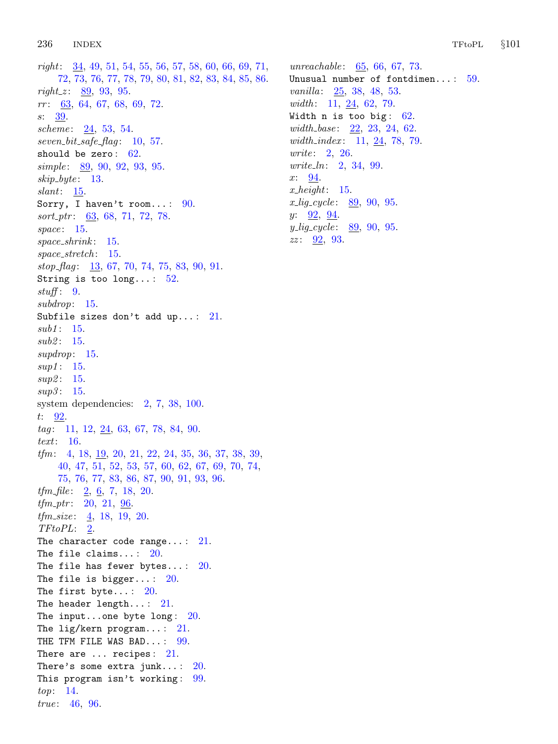$right: \underline{34}$  $right: \underline{34}$  $right: \underline{34}$ , [49](#page-16-0), [51,](#page-16-0) [54,](#page-17-0) [55,](#page-17-0) [56,](#page-17-0) [57,](#page-18-0) [58,](#page-18-0) [60,](#page-18-0) [66,](#page-20-0) [69](#page-21-0), [71](#page-22-0), [72,](#page-22-0) [73,](#page-22-0) [76,](#page-23-0) [77,](#page-24-0) [78,](#page-24-0) [79,](#page-24-0) [80,](#page-25-0) [81,](#page-25-0) [82](#page-25-0), [83](#page-25-0), [84](#page-25-0), [85](#page-26-0), [86](#page-26-0).  $right z: 89, 93, 95.$  $right z: 89, 93, 95.$  $right z: 89, 93, 95.$  $right z: 89, 93, 95.$  $right z: 89, 93, 95.$  $right z: 89, 93, 95.$ rr : [63,](#page-20-0) [64](#page-20-0), [67](#page-21-0), [68,](#page-21-0) [69](#page-21-0), [72.](#page-22-0) s: [39](#page-13-0). scheme:  $24, 53, 54.$  $24, 53, 54.$  $24, 53, 54.$  $24, 53, 54.$  $24, 53, 54.$  $seven\_bit\_safe\_flag: 10, 57.$  $seven\_bit\_safe\_flag: 10, 57.$  $seven\_bit\_safe\_flag: 10, 57.$  $seven\_bit\_safe\_flag: 10, 57.$  $seven\_bit\_safe\_flag: 10, 57.$ should be zero:  $62$ . simple: [89](#page-27-0), [90,](#page-28-0) [92](#page-29-0), [93,](#page-29-0) [95.](#page-30-0)  $skip\_byte: 13.$  $skip\_byte: 13.$ slant: [15.](#page-7-0) Sorry, I haven't room...:  $90$ . sort<sub>-ptr</sub>: [63](#page-20-0), [68,](#page-21-0) [71,](#page-22-0) [72](#page-22-0), [78](#page-24-0). space:  $15$ . space\_shrink: [15.](#page-7-0) space\_stretch: [15.](#page-7-0)  $stop_flag: \quad 13, 67, 70, 74, 75, 83, 90, 91.$  $stop_flag: \quad 13, 67, 70, 74, 75, 83, 90, 91.$  $stop_flag: \quad 13, 67, 70, 74, 75, 83, 90, 91.$  $stop_flag: \quad 13, 67, 70, 74, 75, 83, 90, 91.$  $stop_flag: \quad 13, 67, 70, 74, 75, 83, 90, 91.$  $stop_flag: \quad 13, 67, 70, 74, 75, 83, 90, 91.$  $stop_flag: \quad 13, 67, 70, 74, 75, 83, 90, 91.$  $stop_flag: \quad 13, 67, 70, 74, 75, 83, 90, 91.$  $stop_flag: \quad 13, 67, 70, 74, 75, 83, 90, 91.$  $stop_flag: \quad 13, 67, 70, 74, 75, 83, 90, 91.$  $stop_flag: \quad 13, 67, 70, 74, 75, 83, 90, 91.$  $stop_flag: \quad 13, 67, 70, 74, 75, 83, 90, 91.$  $stop_flag: \quad 13, 67, 70, 74, 75, 83, 90, 91.$  $stop_flag: \quad 13, 67, 70, 74, 75, 83, 90, 91.$  $stop_flag: \quad 13, 67, 70, 74, 75, 83, 90, 91.$  $stop_flag: \quad 13, 67, 70, 74, 75, 83, 90, 91.$  $stop_flag: \quad 13, 67, 70, 74, 75, 83, 90, 91.$ String is too long...:  $52$ . stuff:  $9$ . subdrop: [15](#page-7-0). Subfile sizes don't add up...:  $21$ .  $sub1$ : [15.](#page-7-0)  $sub2: 15.$  $sub2: 15.$ supdrop: [15.](#page-7-0)  $sup1: 15.$  $sup1: 15.$  $sup1: 15.$  $sup2: 15.$  $sup2: 15.$  $sup2: 15.$  $sup3: 15.$  $sup3: 15.$  $sup3: 15.$ system dependencies: [2](#page-1-0), [7](#page-2-0), [38,](#page-13-0) [100.](#page-32-0) t: [92](#page-29-0).  $tag: 11, 12, 24, 63, 67, 78, 84, 90.$  $tag: 11, 12, 24, 63, 67, 78, 84, 90.$  $tag: 11, 12, 24, 63, 67, 78, 84, 90.$  $tag: 11, 12, 24, 63, 67, 78, 84, 90.$  $tag: 11, 12, 24, 63, 67, 78, 84, 90.$  $tag: 11, 12, 24, 63, 67, 78, 84, 90.$  $tag: 11, 12, 24, 63, 67, 78, 84, 90.$  $tag: 11, 12, 24, 63, 67, 78, 84, 90.$  $tag: 11, 12, 24, 63, 67, 78, 84, 90.$  $tag: 11, 12, 24, 63, 67, 78, 84, 90.$  $tag: 11, 12, 24, 63, 67, 78, 84, 90.$  $tag: 11, 12, 24, 63, 67, 78, 84, 90.$  $tag: 11, 12, 24, 63, 67, 78, 84, 90.$  $tag: 11, 12, 24, 63, 67, 78, 84, 90.$  $tag: 11, 12, 24, 63, 67, 78, 84, 90.$  $tag: 11, 12, 24, 63, 67, 78, 84, 90.$  $tag: 11, 12, 24, 63, 67, 78, 84, 90.$ text: [16.](#page-7-0) tfm: [4](#page-1-0), [18](#page-8-0), [19,](#page-8-0) [20](#page-8-0), [21,](#page-9-0) [22](#page-9-0), [24,](#page-10-0) [35](#page-12-0), [36,](#page-12-0) [37](#page-13-0), [38,](#page-13-0) [39](#page-13-0), [40,](#page-14-0) [47,](#page-15-0) [51](#page-16-0), [52,](#page-17-0) [53,](#page-17-0) [57](#page-18-0), [60](#page-18-0), [62,](#page-19-0) [67](#page-21-0), [69](#page-21-0), [70,](#page-22-0) [74,](#page-23-0) [75,](#page-23-0) [76](#page-23-0), [77](#page-24-0), [83,](#page-25-0) [86](#page-26-0), [87,](#page-26-0) [90](#page-28-0), [91](#page-28-0), [93,](#page-29-0) [96](#page-31-0).  $tfm_{\text{m}}$ file:  $2, 6, 7, 18, 20$  $2, 6, 7, 18, 20$  $2, 6, 7, 18, 20$  $2, 6, 7, 18, 20$  $2, 6, 7, 18, 20$  $2, 6, 7, 18, 20$  $2, 6, 7, 18, 20$  $2, 6, 7, 18, 20$ .  $tfm\_ptr$ : [20](#page-8-0), [21,](#page-9-0) [96.](#page-31-0)  $tfm\_size: 4, 18, 19, 20.$  $tfm\_size: 4, 18, 19, 20.$  $tfm\_size: 4, 18, 19, 20.$  $tfm\_size: 4, 18, 19, 20.$  $tfm\_size: 4, 18, 19, 20.$  $tfm\_size: 4, 18, 19, 20.$  $tfm\_size: 4, 18, 19, 20.$  $tfm\_size: 4, 18, 19, 20.$  $TFto PL: 2.$  $TFto PL: 2.$  $TFto PL: 2.$ The character code range...:  $21$ . The file claims...:  $20$ . The file has fewer bytes...:  $20$ . The file is bigger...:  $20$ . The first byte...:  $20$ . The header length...:  $21$ . The input...one byte long:  $20$ . The lig/kern program...:  $21$ . THE TFM FILE WAS BAD...: [99](#page-31-0). There are  $\ldots$  recipes:  $21$ . There's some extra junk...:  $20$ . This program isn't working:  $99$ . top: [14](#page-6-0). true: [46](#page-15-0), [96.](#page-31-0)

unreachable:  $65, 66, 67, 73$  $65, 66, 67, 73$  $65, 66, 67, 73$  $65, 66, 67, 73$  $65, 66, 67, 73$  $65, 66, 67, 73$  $65, 66, 67, 73$ . Unusual number of fontdimen...:  $59$ . vanilla: [25,](#page-10-0) [38,](#page-13-0) [48](#page-16-0), [53.](#page-17-0) width:  $11, 24, 62, 79.$  $11, 24, 62, 79.$  $11, 24, 62, 79.$  $11, 24, 62, 79.$  $11, 24, 62, 79.$  $11, 24, 62, 79.$  $11, 24, 62, 79.$ Width n is too big:  $62$ . width\_base:  $22, 23, 24, 62$  $22, 23, 24, 62$  $22, 23, 24, 62$  $22, 23, 24, 62$  $22, 23, 24, 62$  $22, 23, 24, 62$ . width\_index:  $11, 24, 78, 79$  $11, 24, 78, 79$  $11, 24, 78, 79$  $11, 24, 78, 79$  $11, 24, 78, 79$  $11, 24, 78, 79$  $11, 24, 78, 79$ . write:  $2, 26$  $2, 26$ . write ln: [2,](#page-1-0) [34](#page-12-0), [99](#page-31-0). x: [94](#page-29-0).  $x \text{.} height: 15.$  $x \text{.} height: 15.$  $x \text{.} height: 15.$  $x_{\text{u}}\rightarrow x_{\text{u}}\rightarrow y_{\text{u}}\rightarrow 89, 90, 95.$  $x_{\text{u}}\rightarrow x_{\text{u}}\rightarrow y_{\text{u}}\rightarrow 89, 90, 95.$  $x_{\text{u}}\rightarrow x_{\text{u}}\rightarrow y_{\text{u}}\rightarrow 89, 90, 95.$  $x_{\text{u}}\rightarrow x_{\text{u}}\rightarrow y_{\text{u}}\rightarrow 89, 90, 95.$  $x_{\text{u}}\rightarrow x_{\text{u}}\rightarrow y_{\text{u}}\rightarrow 89, 90, 95.$  $x_{\text{u}}\rightarrow x_{\text{u}}\rightarrow y_{\text{u}}\rightarrow 89, 90, 95.$  $x_{\text{u}}\rightarrow x_{\text{u}}\rightarrow y_{\text{u}}\rightarrow 89, 90, 95.$ y: [92,](#page-29-0) [94](#page-29-0).  $y_{\text{-}}\text{lig\_cycle}$ :  $89, 90, 95$  $89, 90, 95$  $89, 90, 95$  $89, 90, 95$ .  $zz: 92, 93.$  $zz: 92, 93.$  $zz: 92, 93.$  $zz: 92, 93.$